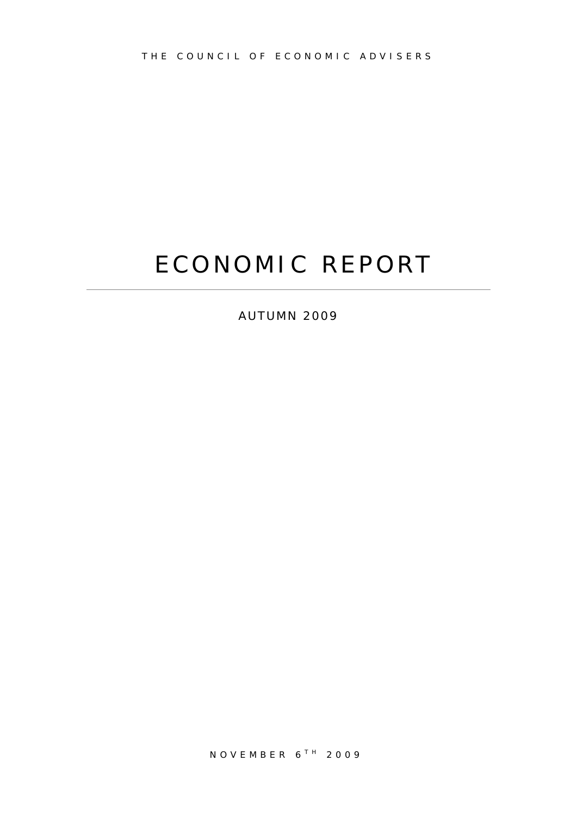# ECONOMIC REPORT

AUTUMN 2009

NOVEMBER 6<sup>TH</sup> 2009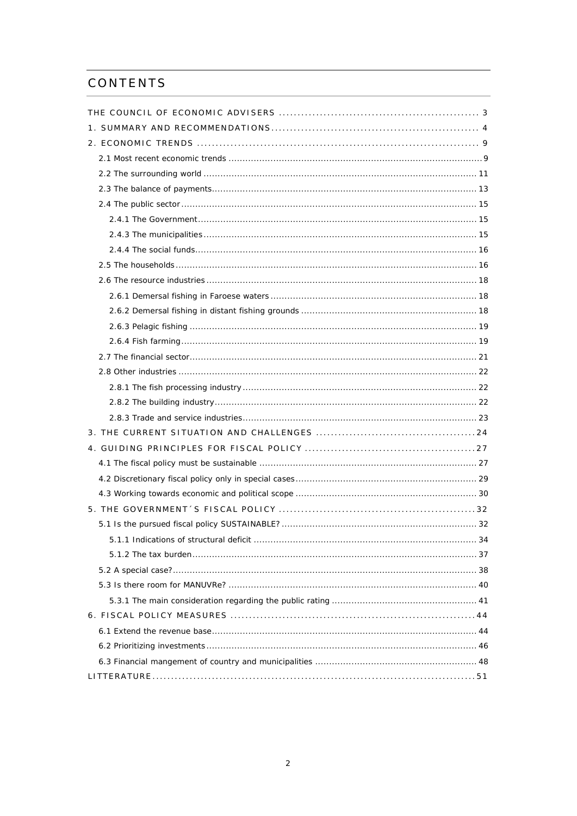# CONTENTS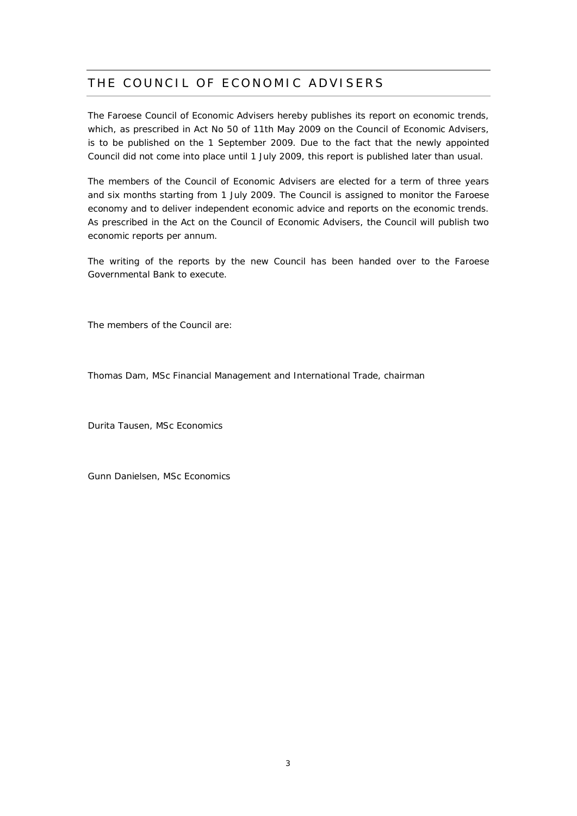# THE COUNCIL OF ECONOMIC ADVISERS

The Faroese Council of Economic Advisers hereby publishes its report on economic trends, which, as prescribed in Act No 50 of 11th May 2009 on the Council of Economic Advisers, is to be published on the 1 September 2009. Due to the fact that the newly appointed Council did not come into place until 1 July 2009, this report is published later than usual.

The members of the Council of Economic Advisers are elected for a term of three years and six months starting from 1 July 2009. The Council is assigned to monitor the Faroese economy and to deliver independent economic advice and reports on the economic trends. As prescribed in the Act on the Council of Economic Advisers, the Council will publish two economic reports per annum.

The writing of the reports by the new Council has been handed over to the Faroese Governmental Bank to execute.

The members of the Council are:

Thomas Dam, MSc Financial Management and International Trade, chairman

Durita Tausen, MSc Economics

Gunn Danielsen, MSc Economics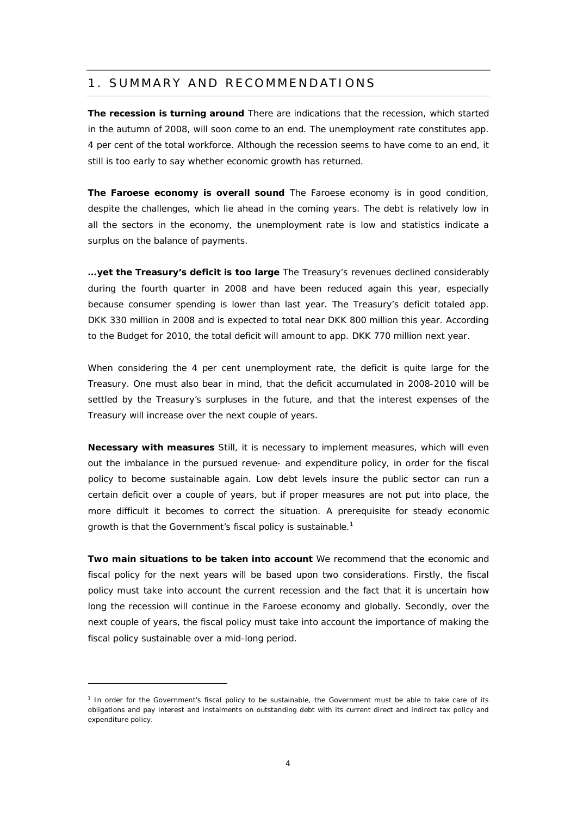# 1. SUMMARY AND RECOMMENDATIONS

**The recession is turning around** There are indications that the recession, which started in the autumn of 2008, will soon come to an end. The unemployment rate constitutes app. 4 per cent of the total workforce. Although the recession seems to have come to an end, it still is too early to say whether economic growth has returned.

**The Faroese economy is overall sound** The Faroese economy is in good condition, despite the challenges, which lie ahead in the coming years. The debt is relatively low in all the sectors in the economy, the unemployment rate is low and statistics indicate a surplus on the balance of payments.

**…yet the Treasury's deficit is too large** The Treasury's revenues declined considerably during the fourth quarter in 2008 and have been reduced again this year, especially because consumer spending is lower than last year. The Treasury's deficit totaled app. DKK 330 million in 2008 and is expected to total near DKK 800 million this year. According to the Budget for 2010, the total deficit will amount to app. DKK 770 million next year.

When considering the 4 per cent unemployment rate, the deficit is quite large for the Treasury. One must also bear in mind, that the deficit accumulated in 2008-2010 will be settled by the Treasury's surpluses in the future, and that the interest expenses of the Treasury will increase over the next couple of years.

**Necessary with measures** Still, it is necessary to implement measures, which will even out the imbalance in the pursued revenue- and expenditure policy, in order for the fiscal policy to become sustainable again. Low debt levels insure the public sector can run a certain deficit over a couple of years, but if proper measures are not put into place, the more difficult it becomes to correct the situation. A prerequisite for steady economic growth is that the Government's fiscal policy is sustainable.<sup>1</sup>

**Two main situations to be taken into account** We recommend that the economic and fiscal policy for the next years will be based upon two considerations. Firstly, the fiscal policy must take into account the current recession and the fact that it is uncertain how long the recession will continue in the Faroese economy and globally. Secondly, over the next couple of years, the fiscal policy must take into account the importance of making the fiscal policy sustainable over a mid-long period.

<sup>&</sup>lt;sup>1</sup> In order for the Government's fiscal policy to be sustainable, the Government must be able to take care of its obligations and pay interest and instalments on outstanding debt with its current direct and indirect tax policy and expenditure policy.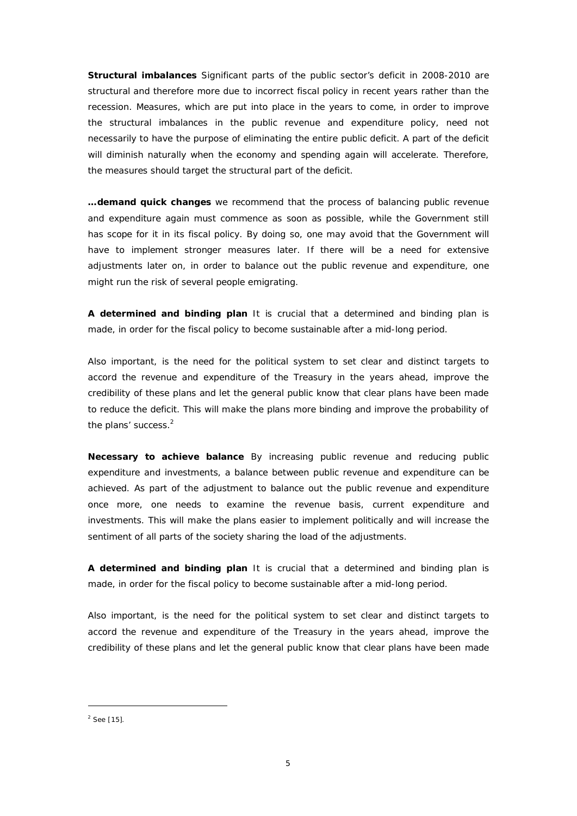**Structural imbalances** Significant parts of the public sector's deficit in 2008-2010 are structural and therefore more due to incorrect fiscal policy in recent years rather than the recession. Measures, which are put into place in the years to come, in order to improve the structural imbalances in the public revenue and expenditure policy, need not necessarily to have the purpose of eliminating the entire public deficit. A part of the deficit will diminish naturally when the economy and spending again will accelerate. Therefore, the measures should target the structural part of the deficit.

**…demand quick changes** we recommend that the process of balancing public revenue and expenditure again must commence as soon as possible, while the Government still has scope for it in its fiscal policy. By doing so, one may avoid that the Government will have to implement stronger measures later. If there will be a need for extensive adjustments later on, in order to balance out the public revenue and expenditure, one might run the risk of several people emigrating.

**A determined and binding plan** It is crucial that a determined and binding plan is made, in order for the fiscal policy to become sustainable after a mid-long period.

Also important, is the need for the political system to set clear and distinct targets to accord the revenue and expenditure of the Treasury in the years ahead, improve the credibility of these plans and let the general public know that clear plans have been made to reduce the deficit. This will make the plans more binding and improve the probability of the plans' success.<sup>2</sup>

**Necessary to achieve balance** By increasing public revenue and reducing public expenditure and investments, a balance between public revenue and expenditure can be achieved. As part of the adjustment to balance out the public revenue and expenditure once more, one needs to examine the revenue basis, current expenditure and investments. This will make the plans easier to implement politically and will increase the sentiment of all parts of the society sharing the load of the adjustments.

**A determined and binding plan** It is crucial that a determined and binding plan is made, in order for the fiscal policy to become sustainable after a mid-long period.

Also important, is the need for the political system to set clear and distinct targets to accord the revenue and expenditure of the Treasury in the years ahead, improve the credibility of these plans and let the general public know that clear plans have been made

 $2$  See [15].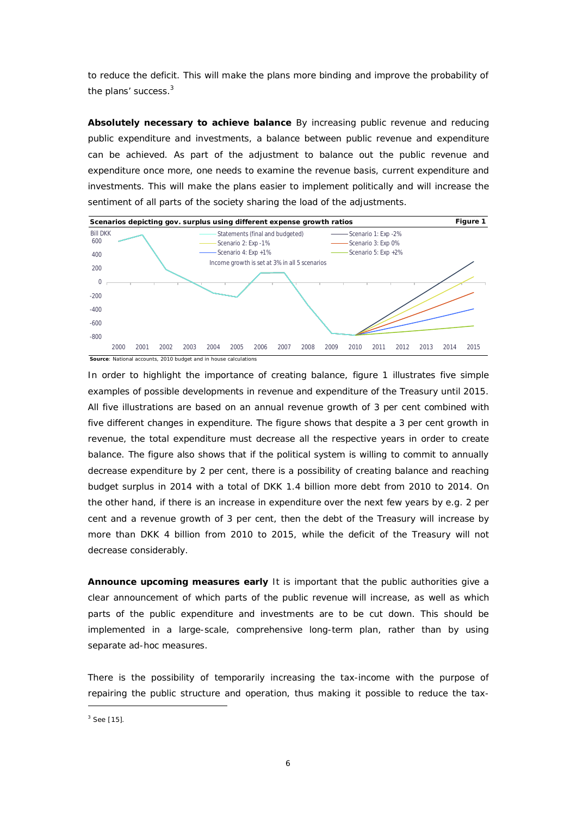to reduce the deficit. This will make the plans more binding and improve the probability of the plans' success.<sup>3</sup>

**Absolutely necessary to achieve balance** By increasing public revenue and reducing public expenditure and investments, a balance between public revenue and expenditure can be achieved. As part of the adjustment to balance out the public revenue and expenditure once more, one needs to examine the revenue basis, current expenditure and investments. This will make the plans easier to implement politically and will increase the sentiment of all parts of the society sharing the load of the adjustments.



In order to highlight the importance of creating balance, figure 1 illustrates five simple examples of possible developments in revenue and expenditure of the Treasury until 2015. All five illustrations are based on an annual revenue growth of 3 per cent combined with five different changes in expenditure. The figure shows that despite a 3 per cent growth in revenue, the total expenditure must decrease all the respective years in order to create balance. The figure also shows that if the political system is willing to commit to annually decrease expenditure by 2 per cent, there is a possibility of creating balance and reaching budget surplus in 2014 with a total of DKK 1.4 billion more debt from 2010 to 2014. On the other hand, if there is an increase in expenditure over the next few years by e.g. 2 per cent and a revenue growth of 3 per cent, then the debt of the Treasury will increase by more than DKK 4 billion from 2010 to 2015, while the deficit of the Treasury will not decrease considerably.

**Announce upcoming measures early** It is important that the public authorities give a clear announcement of which parts of the public revenue will increase, as well as which parts of the public expenditure and investments are to be cut down. This should be implemented in a large-scale, comprehensive long-term plan, rather than by using separate ad-hoc measures.

There is the possibility of temporarily increasing the tax-income with the purpose of repairing the public structure and operation, thus making it possible to reduce the tax-

 $3$  See [15].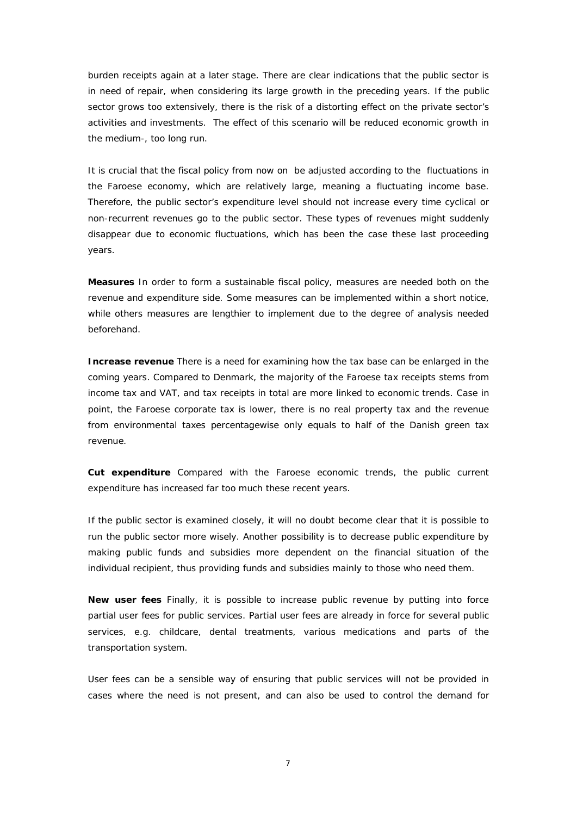burden receipts again at a later stage. There are clear indications that the public sector is in need of repair, when considering its large growth in the preceding years. If the public sector grows too extensively, there is the risk of a distorting effect on the private sector's activities and investments. The effect of this scenario will be reduced economic growth in the medium-, too long run.

It is crucial that the fiscal policy from now on be adjusted according to the fluctuations in the Faroese economy, which are relatively large, meaning a fluctuating income base. Therefore, the public sector's expenditure level should not increase every time cyclical or non-recurrent revenues go to the public sector. These types of revenues might suddenly disappear due to economic fluctuations, which has been the case these last proceeding years.

**Measures** In order to form a sustainable fiscal policy, measures are needed both on the revenue and expenditure side. Some measures can be implemented within a short notice, while others measures are lengthier to implement due to the degree of analysis needed beforehand.

**Increase revenue** There is a need for examining how the tax base can be enlarged in the coming years. Compared to Denmark, the majority of the Faroese tax receipts stems from income tax and VAT, and tax receipts in total are more linked to economic trends. Case in point, the Faroese corporate tax is lower, there is no real property tax and the revenue from environmental taxes percentagewise only equals to half of the Danish green tax revenue.

**Cut expenditure** Compared with the Faroese economic trends, the public current expenditure has increased far too much these recent years.

If the public sector is examined closely, it will no doubt become clear that it is possible to run the public sector more wisely. Another possibility is to decrease public expenditure by making public funds and subsidies more dependent on the financial situation of the individual recipient, thus providing funds and subsidies mainly to those who need them.

**New user fees** Finally, it is possible to increase public revenue by putting into force partial user fees for public services. Partial user fees are already in force for several public services, e.g. childcare, dental treatments, various medications and parts of the transportation system.

User fees can be a sensible way of ensuring that public services will not be provided in cases where the need is not present, and can also be used to control the demand for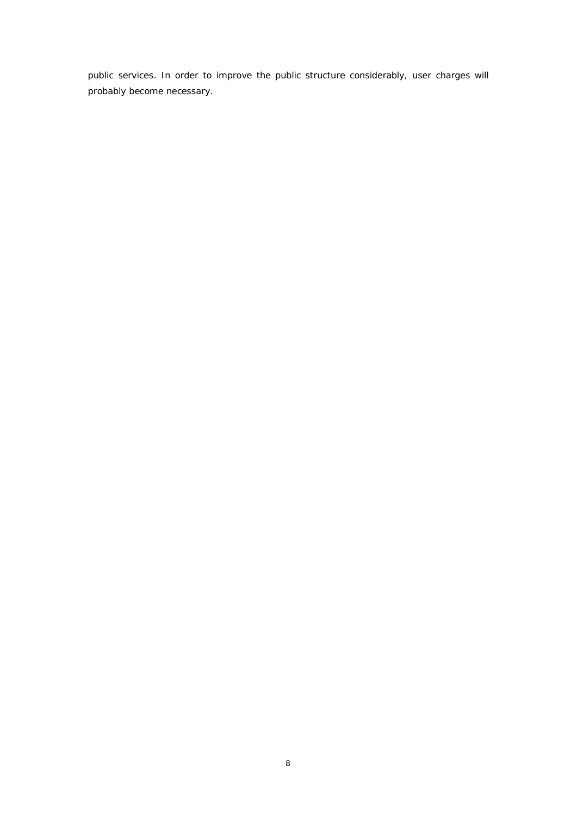public services. In order to improve the public structure considerably, user charges will probably become necessary.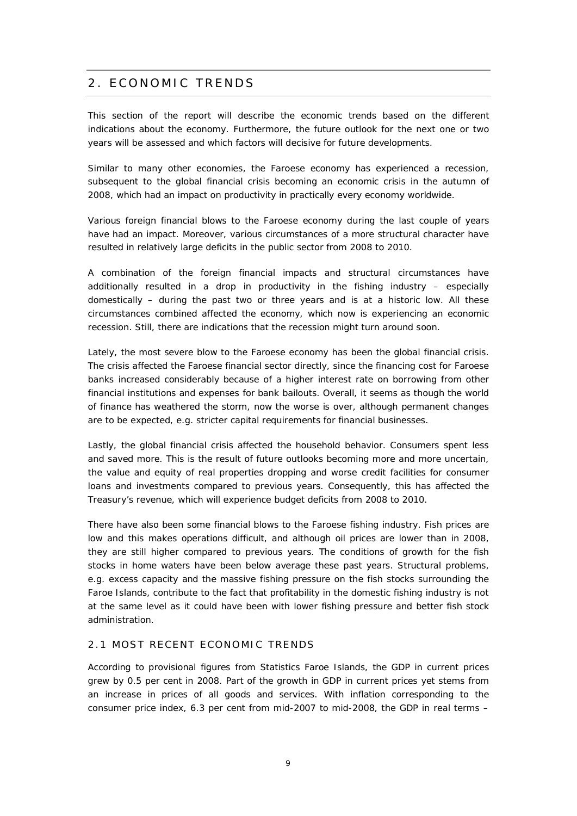# 2. ECONOMIC TRENDS

This section of the report will describe the economic trends based on the different indications about the economy. Furthermore, the future outlook for the next one or two years will be assessed and which factors will decisive for future developments.

Similar to many other economies, the Faroese economy has experienced a recession, subsequent to the global financial crisis becoming an economic crisis in the autumn of 2008, which had an impact on productivity in practically every economy worldwide.

Various foreign financial blows to the Faroese economy during the last couple of years have had an impact. Moreover, various circumstances of a more structural character have resulted in relatively large deficits in the public sector from 2008 to 2010.

A combination of the foreign financial impacts and structural circumstances have additionally resulted in a drop in productivity in the fishing industry – especially domestically – during the past two or three years and is at a historic low. All these circumstances combined affected the economy, which now is experiencing an economic recession. Still, there are indications that the recession might turn around soon.

Lately, the most severe blow to the Faroese economy has been the global financial crisis. The crisis affected the Faroese financial sector directly, since the financing cost for Faroese banks increased considerably because of a higher interest rate on borrowing from other financial institutions and expenses for bank bailouts. Overall, it seems as though the world of finance has weathered the storm, now the worse is over, although permanent changes are to be expected, e.g. stricter capital requirements for financial businesses.

Lastly, the global financial crisis affected the household behavior. Consumers spent less and saved more. This is the result of future outlooks becoming more and more uncertain, the value and equity of real properties dropping and worse credit facilities for consumer loans and investments compared to previous years. Consequently, this has affected the Treasury's revenue, which will experience budget deficits from 2008 to 2010.

There have also been some financial blows to the Faroese fishing industry. Fish prices are low and this makes operations difficult, and although oil prices are lower than in 2008, they are still higher compared to previous years. The conditions of growth for the fish stocks in home waters have been below average these past years. Structural problems, e.g. excess capacity and the massive fishing pressure on the fish stocks surrounding the Faroe Islands, contribute to the fact that profitability in the domestic fishing industry is not at the same level as it could have been with lower fishing pressure and better fish stock administration.

#### 2.1 MOST RECENT ECONOMIC TRENDS

According to provisional figures from Statistics Faroe Islands, the GDP in current prices grew by 0.5 per cent in 2008. Part of the growth in GDP in current prices yet stems from an increase in prices of all goods and services. With inflation corresponding to the consumer price index, 6.3 per cent from mid-2007 to mid-2008, the GDP in real terms –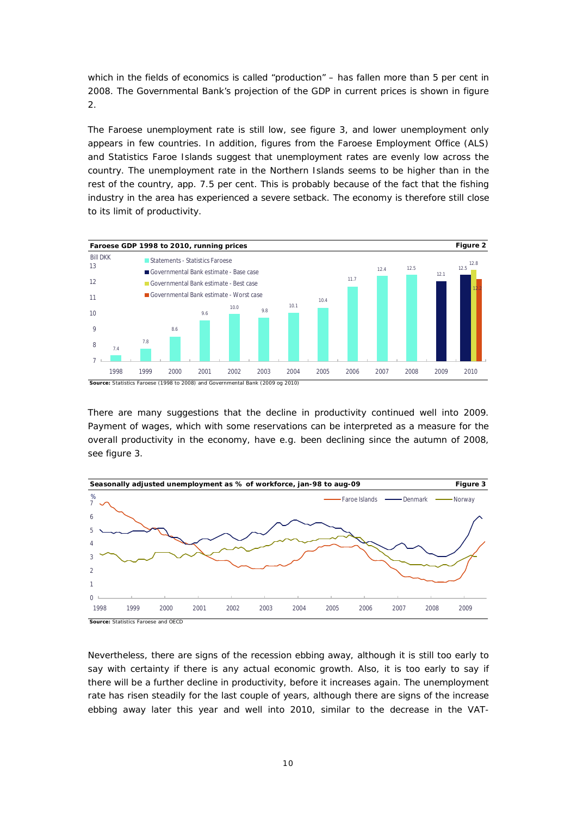which in the fields of economics is called "production" – has fallen more than 5 per cent in 2008. The Governmental Bank's projection of the GDP in current prices is shown in figure 2.

The Faroese unemployment rate is still low, see figure 3, and lower unemployment only appears in few countries. In addition, figures from the Faroese Employment Office (ALS) and Statistics Faroe Islands suggest that unemployment rates are evenly low across the country. The unemployment rate in the Northern Islands seems to be higher than in the rest of the country, app. 7.5 per cent. This is probably because of the fact that the fishing industry in the area has experienced a severe setback. The economy is therefore still close to its limit of productivity.



There are many suggestions that the decline in productivity continued well into 2009. Payment of wages, which with some reservations can be interpreted as a measure for the overall productivity in the economy, have e.g. been declining since the autumn of 2008, see figure 3.



Nevertheless, there are signs of the recession ebbing away, although it is still too early to say with certainty if there is any actual economic growth. Also, it is too early to say if there will be a further decline in productivity, before it increases again. The unemployment rate has risen steadily for the last couple of years, although there are signs of the increase ebbing away later this year and well into 2010, similar to the decrease in the VAT-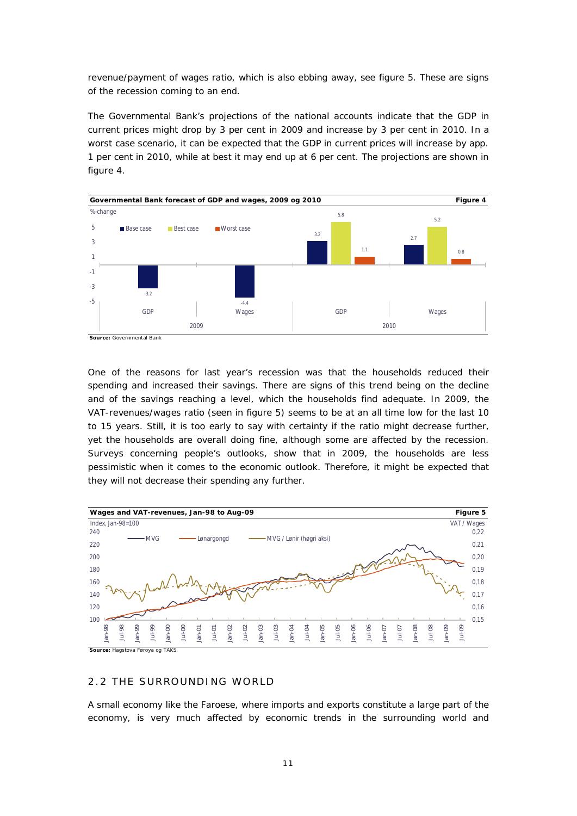revenue/payment of wages ratio, which is also ebbing away, see figure 5. These are signs of the recession coming to an end.

The Governmental Bank's projections of the national accounts indicate that the GDP in current prices might drop by 3 per cent in 2009 and increase by 3 per cent in 2010. In a worst case scenario, it can be expected that the GDP in current prices will increase by app. 1 per cent in 2010, while at best it may end up at 6 per cent. The projections are shown in figure 4.



One of the reasons for last year's recession was that the households reduced their spending and increased their savings. There are signs of this trend being on the decline and of the savings reaching a level, which the households find adequate. In 2009, the VAT-revenues/wages ratio (seen in figure 5) seems to be at an all time low for the last 10 to 15 years. Still, it is too early to say with certainty if the ratio might decrease further, yet the households are overall doing fine, although some are affected by the recession. Surveys concerning people's outlooks, show that in 2009, the households are less pessimistic when it comes to the economic outlook. Therefore, it might be expected that they will not decrease their spending any further.



## 2.2 THE SURROUNDING WORLD

A small economy like the Faroese, where imports and exports constitute a large part of the economy, is very much affected by economic trends in the surrounding world and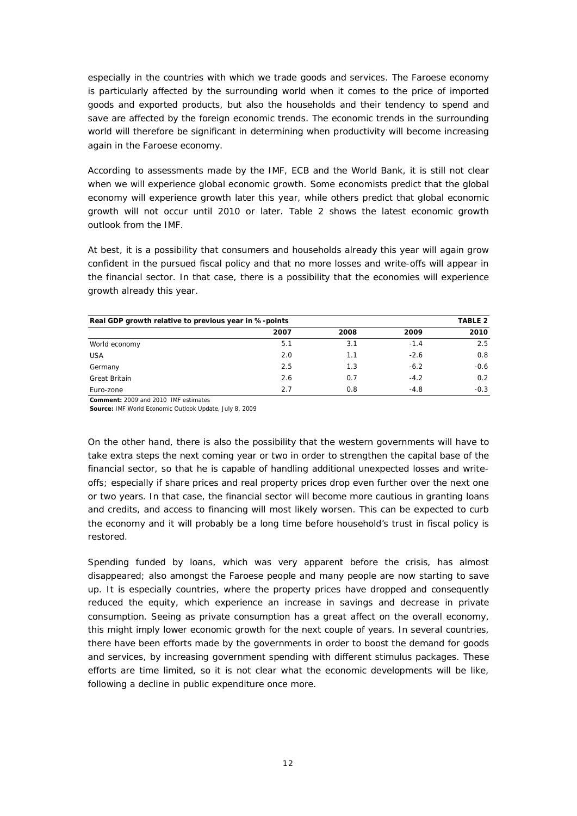especially in the countries with which we trade goods and services. The Faroese economy is particularly affected by the surrounding world when it comes to the price of imported goods and exported products, but also the households and their tendency to spend and save are affected by the foreign economic trends. The economic trends in the surrounding world will therefore be significant in determining when productivity will become increasing again in the Faroese economy.

According to assessments made by the IMF, ECB and the World Bank, it is still not clear when we will experience global economic growth. Some economists predict that the global economy will experience growth later this year, while others predict that global economic growth will not occur until 2010 or later. Table 2 shows the latest economic growth outlook from the IMF.

At best, it is a possibility that consumers and households already this year will again grow confident in the pursued fiscal policy and that no more losses and write-offs will appear in the financial sector. In that case, there is a possibility that the economies will experience growth already this year.

| TABLE 2<br>Real GDP growth relative to previous year in %-points |      |      |        |        |  |  |  |  |
|------------------------------------------------------------------|------|------|--------|--------|--|--|--|--|
|                                                                  | 2007 | 2008 | 2009   | 2010   |  |  |  |  |
| World economy                                                    | 5.1  | 3.1  | $-1.4$ | 2.5    |  |  |  |  |
| <b>USA</b>                                                       | 2.0  | 1.1  | $-2.6$ | 0.8    |  |  |  |  |
| Germany                                                          | 2.5  | 1.3  | $-6.2$ | $-0.6$ |  |  |  |  |
| <b>Great Britain</b>                                             | 2.6  | 0.7  | $-4.2$ | 0.2    |  |  |  |  |
| Euro-zone                                                        | 2.7  | 0.8  | $-4.8$ | $-0.3$ |  |  |  |  |

**Comment:** 2009 and 2010 IMF estimates

**Source:** IMF World Economic Outlook Update, July 8, 2009

On the other hand, there is also the possibility that the western governments will have to take extra steps the next coming year or two in order to strengthen the capital base of the financial sector, so that he is capable of handling additional unexpected losses and writeoffs; especially if share prices and real property prices drop even further over the next one or two years. In that case, the financial sector will become more cautious in granting loans and credits, and access to financing will most likely worsen. This can be expected to curb the economy and it will probably be a long time before household's trust in fiscal policy is restored.

Spending funded by loans, which was very apparent before the crisis, has almost disappeared; also amongst the Faroese people and many people are now starting to save up. It is especially countries, where the property prices have dropped and consequently reduced the equity, which experience an increase in savings and decrease in private consumption. Seeing as private consumption has a great affect on the overall economy, this might imply lower economic growth for the next couple of years. In several countries, there have been efforts made by the governments in order to boost the demand for goods and services, by increasing government spending with different stimulus packages. These efforts are time limited, so it is not clear what the economic developments will be like, following a decline in public expenditure once more.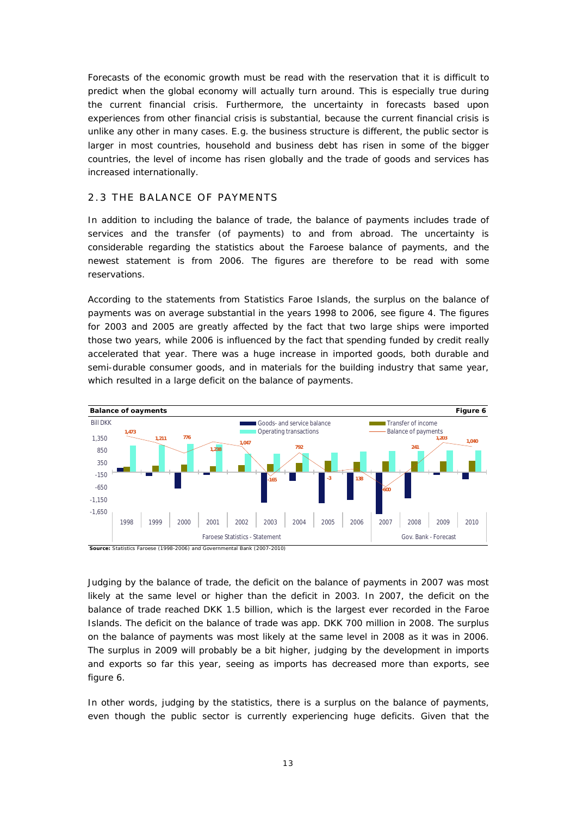Forecasts of the economic growth must be read with the reservation that it is difficult to predict when the global economy will actually turn around. This is especially true during the current financial crisis. Furthermore, the uncertainty in forecasts based upon experiences from other financial crisis is substantial, because the current financial crisis is unlike any other in many cases. E.g. the business structure is different, the public sector is larger in most countries, household and business debt has risen in some of the bigger countries, the level of income has risen globally and the trade of goods and services has increased internationally.

#### 2.3 THE BALANCE OF PAYMENTS

In addition to including the balance of trade, the balance of payments includes trade of services and the transfer (of payments) to and from abroad. The uncertainty is considerable regarding the statistics about the Faroese balance of payments, and the newest statement is from 2006. The figures are therefore to be read with some reservations.

According to the statements from Statistics Faroe Islands, the surplus on the balance of payments was on average substantial in the years 1998 to 2006, see figure 4. The figures for 2003 and 2005 are greatly affected by the fact that two large ships were imported those two years, while 2006 is influenced by the fact that spending funded by credit really accelerated that year. There was a huge increase in imported goods, both durable and semi-durable consumer goods, and in materials for the building industry that same year, which resulted in a large deficit on the balance of payments.



Judging by the balance of trade, the deficit on the balance of payments in 2007 was most likely at the same level or higher than the deficit in 2003. In 2007, the deficit on the balance of trade reached DKK 1.5 billion, which is the largest ever recorded in the Faroe Islands. The deficit on the balance of trade was app. DKK 700 million in 2008. The surplus on the balance of payments was most likely at the same level in 2008 as it was in 2006. The surplus in 2009 will probably be a bit higher, judging by the development in imports and exports so far this year, seeing as imports has decreased more than exports, see figure 6.

In other words, judging by the statistics, there is a surplus on the balance of payments, even though the public sector is currently experiencing huge deficits. Given that the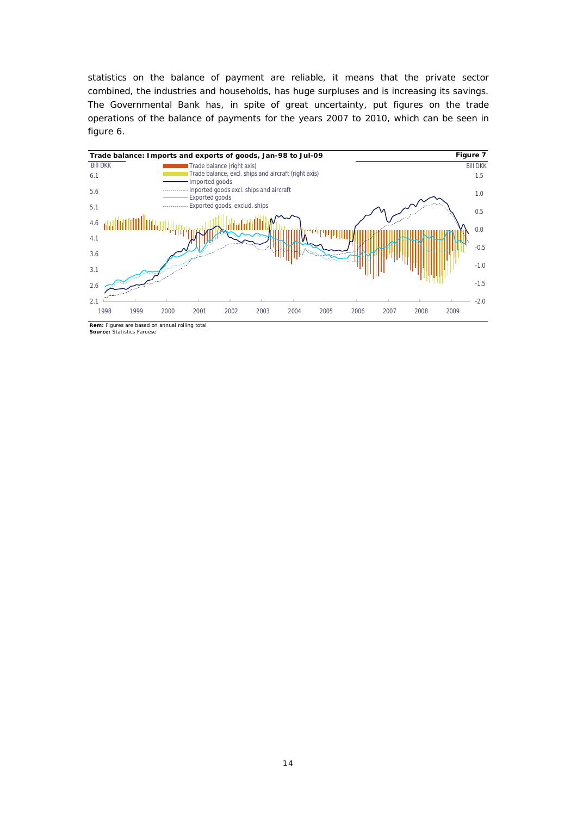statistics on the balance of payment are reliable, it means that the private sector combined, the industries and households, has huge surpluses and is increasing its savings. The Governmental Bank has, in spite of great uncertainty, put figures on the trade operations of the balance of payments for the years 2007 to 2010, which can be seen in figure 6.



**Rem:** Figures are based on annual rolling total **Source:** Statistics Faroese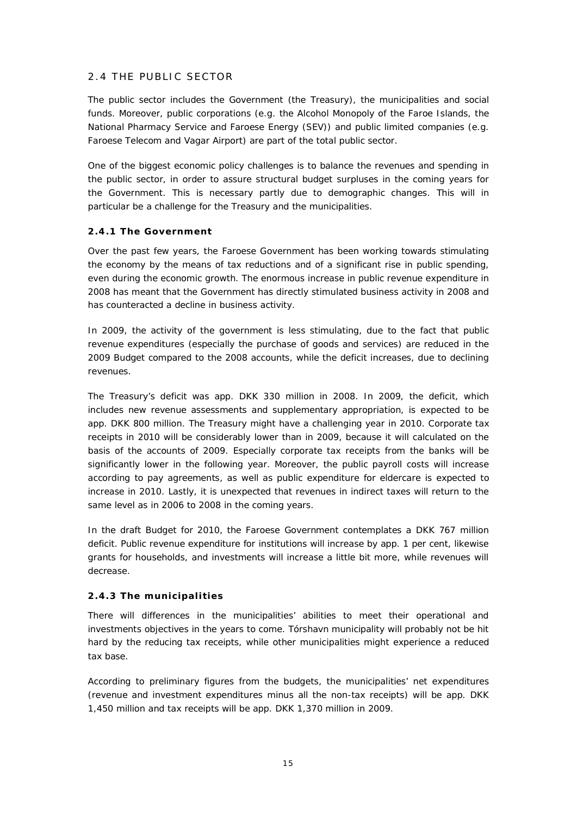# 2.4 THE PUBLIC SECTOR

The public sector includes the Government (the Treasury), the municipalities and social funds. Moreover, public corporations (e.g. the Alcohol Monopoly of the Faroe Islands, the National Pharmacy Service and Faroese Energy (SEV)) and public limited companies (e.g. Faroese Telecom and Vagar Airport) are part of the total public sector.

One of the biggest economic policy challenges is to balance the revenues and spending in the public sector, in order to assure structural budget surpluses in the coming years for the Government. This is necessary partly due to demographic changes. This will in particular be a challenge for the Treasury and the municipalities.

#### **2.4.1 The Government**

Over the past few years, the Faroese Government has been working towards stimulating the economy by the means of tax reductions and of a significant rise in public spending, even during the economic growth. The enormous increase in public revenue expenditure in 2008 has meant that the Government has directly stimulated business activity in 2008 and has counteracted a decline in business activity.

In 2009, the activity of the government is less stimulating, due to the fact that public revenue expenditures (especially the purchase of goods and services) are reduced in the 2009 Budget compared to the 2008 accounts, while the deficit increases, due to declining revenues.

The Treasury's deficit was app. DKK 330 million in 2008. In 2009, the deficit, which includes new revenue assessments and supplementary appropriation, is expected to be app. DKK 800 million. The Treasury might have a challenging year in 2010. Corporate tax receipts in 2010 will be considerably lower than in 2009, because it will calculated on the basis of the accounts of 2009. Especially corporate tax receipts from the banks will be significantly lower in the following year. Moreover, the public payroll costs will increase according to pay agreements, as well as public expenditure for eldercare is expected to increase in 2010. Lastly, it is unexpected that revenues in indirect taxes will return to the same level as in 2006 to 2008 in the coming years.

In the draft Budget for 2010, the Faroese Government contemplates a DKK 767 million deficit. Public revenue expenditure for institutions will increase by app. 1 per cent, likewise grants for households, and investments will increase a little bit more, while revenues will decrease.

#### **2.4.3 The municipalities**

There will differences in the municipalities' abilities to meet their operational and investments objectives in the years to come. Tórshavn municipality will probably not be hit hard by the reducing tax receipts, while other municipalities might experience a reduced tax base.

According to preliminary figures from the budgets, the municipalities' net expenditures (revenue and investment expenditures minus all the non-tax receipts) will be app. DKK 1,450 million and tax receipts will be app. DKK 1,370 million in 2009.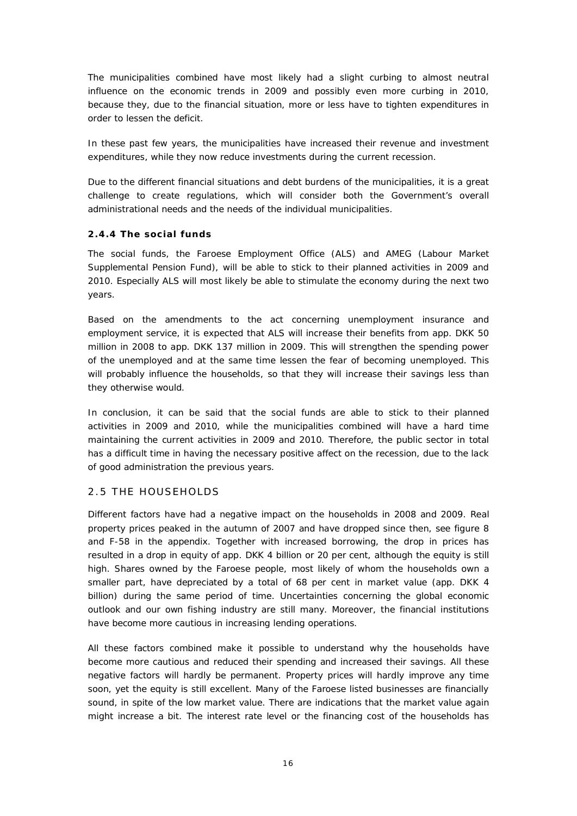The municipalities combined have most likely had a slight curbing to almost neutral influence on the economic trends in 2009 and possibly even more curbing in 2010, because they, due to the financial situation, more or less have to tighten expenditures in order to lessen the deficit.

In these past few years, the municipalities have increased their revenue and investment expenditures, while they now reduce investments during the current recession.

Due to the different financial situations and debt burdens of the municipalities, it is a great challenge to create regulations, which will consider both the Government's overall administrational needs and the needs of the individual municipalities.

#### **2.4.4 The social funds**

The social funds, the Faroese Employment Office (ALS) and AMEG (Labour Market Supplemental Pension Fund), will be able to stick to their planned activities in 2009 and 2010. Especially ALS will most likely be able to stimulate the economy during the next two years.

Based on the amendments to the act concerning unemployment insurance and employment service, it is expected that ALS will increase their benefits from app. DKK 50 million in 2008 to app. DKK 137 million in 2009. This will strengthen the spending power of the unemployed and at the same time lessen the fear of becoming unemployed. This will probably influence the households, so that they will increase their savings less than they otherwise would.

In conclusion, it can be said that the social funds are able to stick to their planned activities in 2009 and 2010, while the municipalities combined will have a hard time maintaining the current activities in 2009 and 2010. Therefore, the public sector in total has a difficult time in having the necessary positive affect on the recession, due to the lack of good administration the previous years.

#### 2.5 THE HOUSEHOLDS

Different factors have had a negative impact on the households in 2008 and 2009. Real property prices peaked in the autumn of 2007 and have dropped since then, see figure 8 and F-58 in the appendix. Together with increased borrowing, the drop in prices has resulted in a drop in equity of app. DKK 4 billion or 20 per cent, although the equity is still high. Shares owned by the Faroese people, most likely of whom the households own a smaller part, have depreciated by a total of 68 per cent in market value (app. DKK 4 billion) during the same period of time. Uncertainties concerning the global economic outlook and our own fishing industry are still many. Moreover, the financial institutions have become more cautious in increasing lending operations.

All these factors combined make it possible to understand why the households have become more cautious and reduced their spending and increased their savings. All these negative factors will hardly be permanent. Property prices will hardly improve any time soon, yet the equity is still excellent. Many of the Faroese listed businesses are financially sound, in spite of the low market value. There are indications that the market value again might increase a bit. The interest rate level or the financing cost of the households has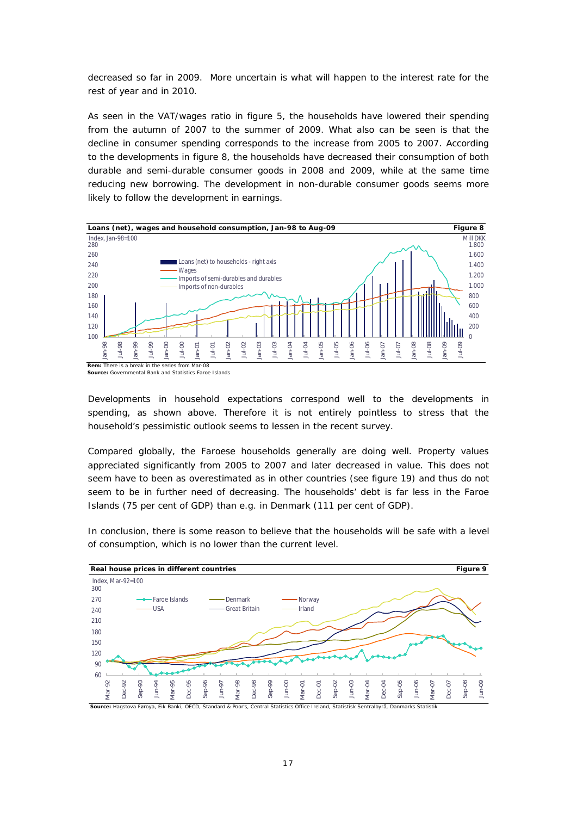decreased so far in 2009. More uncertain is what will happen to the interest rate for the rest of year and in 2010.

As seen in the VAT/wages ratio in figure 5, the households have lowered their spending from the autumn of 2007 to the summer of 2009. What also can be seen is that the decline in consumer spending corresponds to the increase from 2005 to 2007. According to the developments in figure 8, the households have decreased their consumption of both durable and semi-durable consumer goods in 2008 and 2009, while at the same time reducing new borrowing. The development in non-durable consumer goods seems more likely to follow the development in earnings.



**Source:** Governmental Bank and Statistics Faroe Islands

Developments in household expectations correspond well to the developments in spending, as shown above. Therefore it is not entirely pointless to stress that the household's pessimistic outlook seems to lessen in the recent survey.

Compared globally, the Faroese households generally are doing well. Property values appreciated significantly from 2005 to 2007 and later decreased in value. This does not seem have to been as overestimated as in other countries (see figure 19) and thus do not seem to be in further need of decreasing. The households' debt is far less in the Faroe Islands (75 per cent of GDP) than e.g. in Denmark (111 per cent of GDP).

In conclusion, there is some reason to believe that the households will be safe with a level of consumption, which is no lower than the current level.

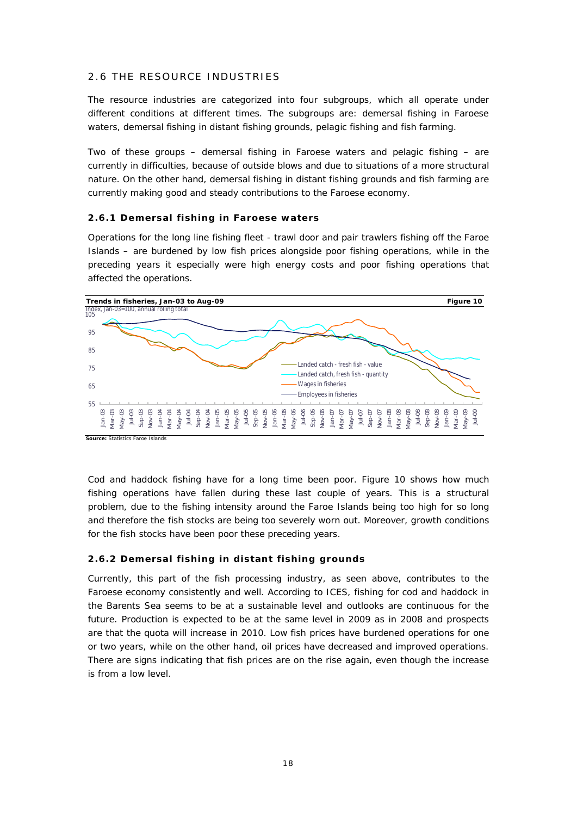# 2.6 THE RESOURCE INDUSTRIES

The resource industries are categorized into four subgroups, which all operate under different conditions at different times. The subgroups are: demersal fishing in Faroese waters, demersal fishing in distant fishing grounds, pelagic fishing and fish farming.

Two of these groups – demersal fishing in Faroese waters and pelagic fishing – are currently in difficulties, because of outside blows and due to situations of a more structural nature. On the other hand, demersal fishing in distant fishing grounds and fish farming are currently making good and steady contributions to the Faroese economy.

#### **2.6.1 Demersal fishing in Faroese waters**

Operations for the long line fishing fleet - trawl door and pair trawlers fishing off the Faroe Islands – are burdened by low fish prices alongside poor fishing operations, while in the preceding years it especially were high energy costs and poor fishing operations that affected the operations.



**Source:** Statistics Faroe Islands

Cod and haddock fishing have for a long time been poor. Figure 10 shows how much fishing operations have fallen during these last couple of years. This is a structural problem, due to the fishing intensity around the Faroe Islands being too high for so long and therefore the fish stocks are being too severely worn out. Moreover, growth conditions for the fish stocks have been poor these preceding years.

#### **2.6.2 Demersal fishing in distant fishing grounds**

Currently, this part of the fish processing industry, as seen above, contributes to the Faroese economy consistently and well. According to ICES, fishing for cod and haddock in the Barents Sea seems to be at a sustainable level and outlooks are continuous for the future. Production is expected to be at the same level in 2009 as in 2008 and prospects are that the quota will increase in 2010. Low fish prices have burdened operations for one or two years, while on the other hand, oil prices have decreased and improved operations. There are signs indicating that fish prices are on the rise again, even though the increase is from a low level.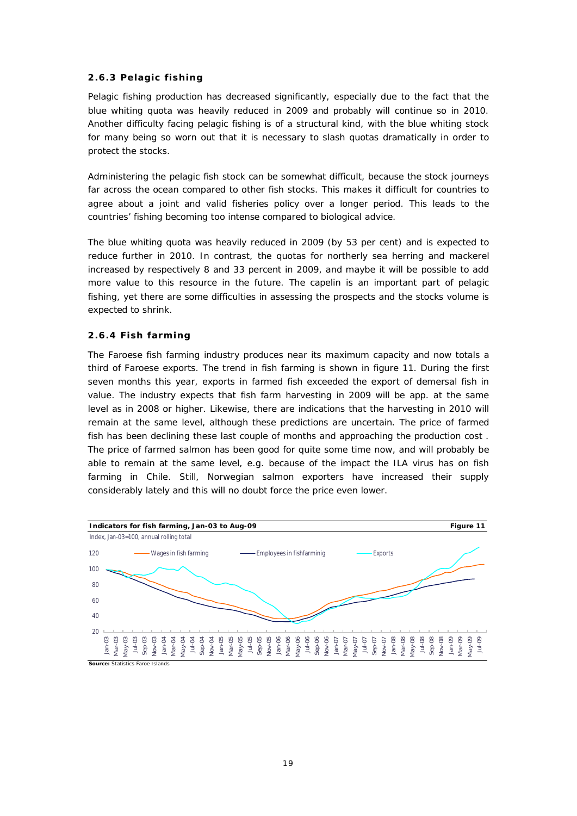#### **2.6.3 Pelagic fishing**

Pelagic fishing production has decreased significantly, especially due to the fact that the blue whiting quota was heavily reduced in 2009 and probably will continue so in 2010. Another difficulty facing pelagic fishing is of a structural kind, with the blue whiting stock for many being so worn out that it is necessary to slash quotas dramatically in order to protect the stocks.

Administering the pelagic fish stock can be somewhat difficult, because the stock journeys far across the ocean compared to other fish stocks. This makes it difficult for countries to agree about a joint and valid fisheries policy over a longer period. This leads to the countries' fishing becoming too intense compared to biological advice.

The blue whiting quota was heavily reduced in 2009 (by 53 per cent) and is expected to reduce further in 2010. In contrast, the quotas for northerly sea herring and mackerel increased by respectively 8 and 33 percent in 2009, and maybe it will be possible to add more value to this resource in the future. The capelin is an important part of pelagic fishing, yet there are some difficulties in assessing the prospects and the stocks volume is expected to shrink.

#### **2.6.4 Fish farming**

The Faroese fish farming industry produces near its maximum capacity and now totals a third of Faroese exports. The trend in fish farming is shown in figure 11. During the first seven months this year, exports in farmed fish exceeded the export of demersal fish in value. The industry expects that fish farm harvesting in 2009 will be app. at the same level as in 2008 or higher. Likewise, there are indications that the harvesting in 2010 will remain at the same level, although these predictions are uncertain. The price of farmed fish has been declining these last couple of months and approaching the production cost . The price of farmed salmon has been good for quite some time now, and will probably be able to remain at the same level, e.g. because of the impact the ILA virus has on fish farming in Chile. Still, Norwegian salmon exporters have increased their supply considerably lately and this will no doubt force the price even lower.

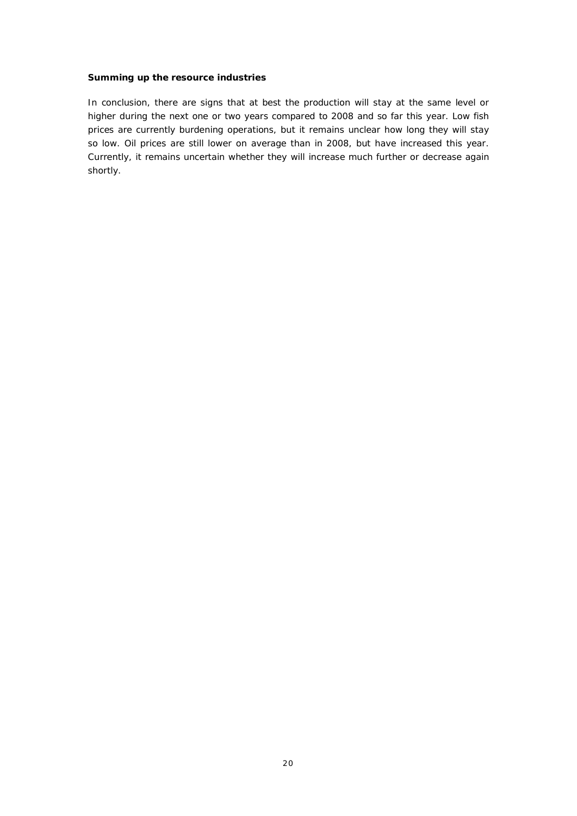#### **Summing up the resource industries**

In conclusion, there are signs that at best the production will stay at the same level or higher during the next one or two years compared to 2008 and so far this year. Low fish prices are currently burdening operations, but it remains unclear how long they will stay so low. Oil prices are still lower on average than in 2008, but have increased this year. Currently, it remains uncertain whether they will increase much further or decrease again shortly.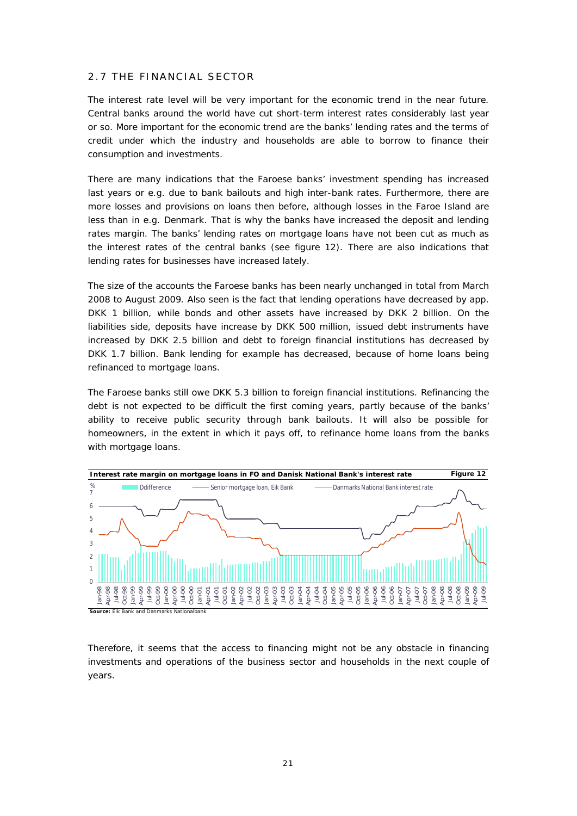# 2.7 THE FINANCIAL SECTOR

The interest rate level will be very important for the economic trend in the near future. Central banks around the world have cut short-term interest rates considerably last year or so. More important for the economic trend are the banks' lending rates and the terms of credit under which the industry and households are able to borrow to finance their consumption and investments.

There are many indications that the Faroese banks' investment spending has increased last years or e.g. due to bank bailouts and high inter-bank rates. Furthermore, there are more losses and provisions on loans then before, although losses in the Faroe Island are less than in e.g. Denmark. That is why the banks have increased the deposit and lending rates margin. The banks' lending rates on mortgage loans have not been cut as much as the interest rates of the central banks (see figure 12). There are also indications that lending rates for businesses have increased lately.

The size of the accounts the Faroese banks has been nearly unchanged in total from March 2008 to August 2009. Also seen is the fact that lending operations have decreased by app. DKK 1 billion, while bonds and other assets have increased by DKK 2 billion. On the liabilities side, deposits have increase by DKK 500 million, issued debt instruments have increased by DKK 2.5 billion and debt to foreign financial institutions has decreased by DKK 1.7 billion. Bank lending for example has decreased, because of home loans being refinanced to mortgage loans.

The Faroese banks still owe DKK 5.3 billion to foreign financial institutions. Refinancing the debt is not expected to be difficult the first coming years, partly because of the banks' ability to receive public security through bank bailouts. It will also be possible for homeowners, in the extent in which it pays off, to refinance home loans from the banks with mortgage loans.



Therefore, it seems that the access to financing might not be any obstacle in financing investments and operations of the business sector and households in the next couple of years.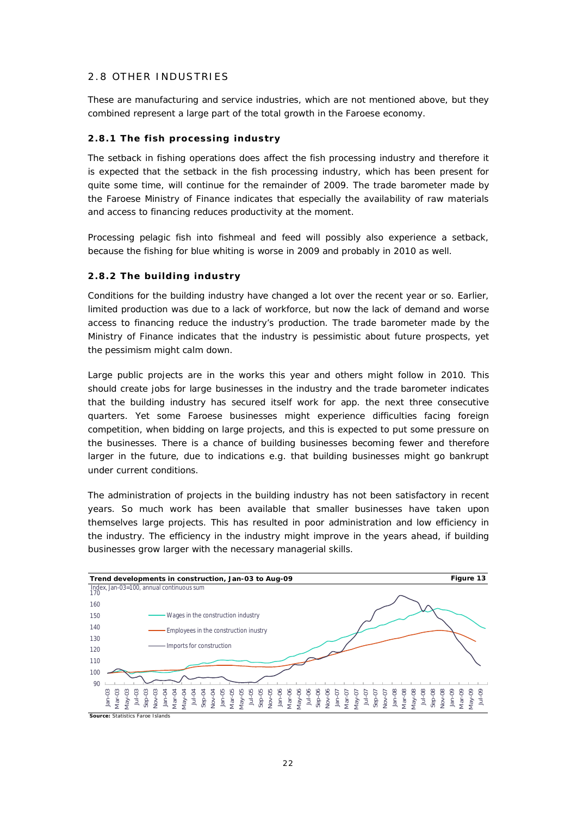## 2.8 OTHER INDUSTRIES

These are manufacturing and service industries, which are not mentioned above, but they combined represent a large part of the total growth in the Faroese economy.

#### **2.8.1 The fish processing industry**

The setback in fishing operations does affect the fish processing industry and therefore it is expected that the setback in the fish processing industry, which has been present for quite some time, will continue for the remainder of 2009. The trade barometer made by the Faroese Ministry of Finance indicates that especially the availability of raw materials and access to financing reduces productivity at the moment.

Processing pelagic fish into fishmeal and feed will possibly also experience a setback, because the fishing for blue whiting is worse in 2009 and probably in 2010 as well.

#### **2.8.2 The building industry**

Conditions for the building industry have changed a lot over the recent year or so. Earlier, limited production was due to a lack of workforce, but now the lack of demand and worse access to financing reduce the industry's production. The trade barometer made by the Ministry of Finance indicates that the industry is pessimistic about future prospects, yet the pessimism might calm down.

Large public projects are in the works this year and others might follow in 2010. This should create jobs for large businesses in the industry and the trade barometer indicates that the building industry has secured itself work for app. the next three consecutive quarters. Yet some Faroese businesses might experience difficulties facing foreign competition, when bidding on large projects, and this is expected to put some pressure on the businesses. There is a chance of building businesses becoming fewer and therefore larger in the future, due to indications e.g. that building businesses might go bankrupt under current conditions.

The administration of projects in the building industry has not been satisfactory in recent years. So much work has been available that smaller businesses have taken upon themselves large projects. This has resulted in poor administration and low efficiency in the industry. The efficiency in the industry might improve in the years ahead, if building businesses grow larger with the necessary managerial skills.

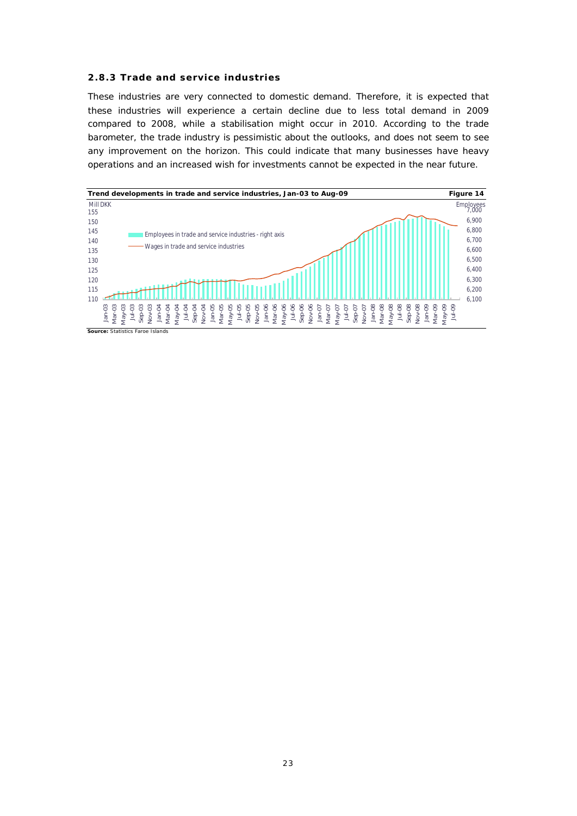#### **2.8.3 Trade and service industries**

These industries are very connected to domestic demand. Therefore, it is expected that these industries will experience a certain decline due to less total demand in 2009 compared to 2008, while a stabilisation might occur in 2010. According to the trade barometer, the trade industry is pessimistic about the outlooks, and does not seem to see any improvement on the horizon. This could indicate that many businesses have heavy operations and an increased wish for investments cannot be expected in the near future.

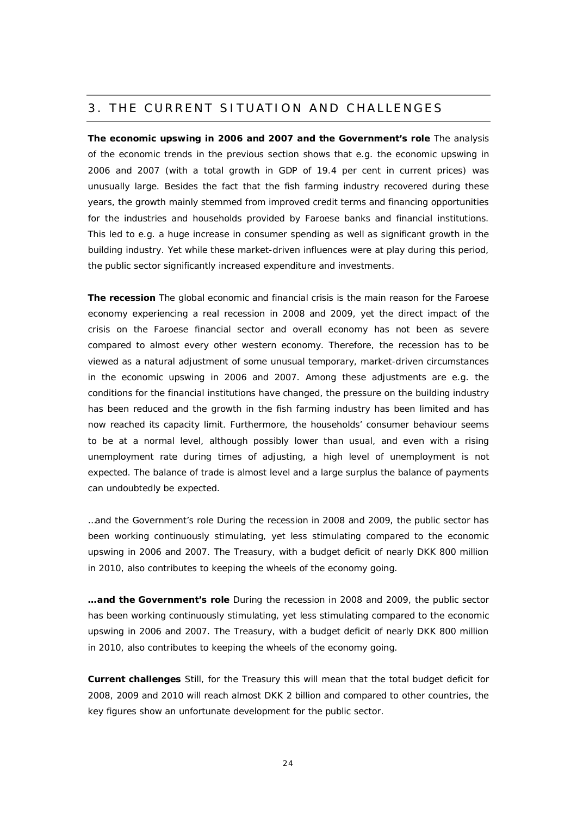# 3. THE CURRENT SITUATION AND CHALLENGES

**The economic upswing in 2006 and 2007 and the Government's role** The analysis of the economic trends in the previous section shows that e.g. the economic upswing in 2006 and 2007 (with a total growth in GDP of 19.4 per cent in current prices) was unusually large. Besides the fact that the fish farming industry recovered during these years, the growth mainly stemmed from improved credit terms and financing opportunities for the industries and households provided by Faroese banks and financial institutions. This led to e.g. a huge increase in consumer spending as well as significant growth in the building industry. Yet while these market-driven influences were at play during this period, the public sector significantly increased expenditure and investments.

**The recession** The global economic and financial crisis is the main reason for the Faroese economy experiencing a real recession in 2008 and 2009, yet the direct impact of the crisis on the Faroese financial sector and overall economy has not been as severe compared to almost every other western economy. Therefore, the recession has to be viewed as a natural adjustment of some unusual temporary, market-driven circumstances in the economic upswing in 2006 and 2007. Among these adjustments are e.g. the conditions for the financial institutions have changed, the pressure on the building industry has been reduced and the growth in the fish farming industry has been limited and has now reached its capacity limit. Furthermore, the households' consumer behaviour seems to be at a normal level, although possibly lower than usual, and even with a rising unemployment rate during times of adjusting, a high level of unemployment is not expected. The balance of trade is almost level and a large surplus the balance of payments can undoubtedly be expected.

…and the Government's role During the recession in 2008 and 2009, the public sector has been working continuously stimulating, yet less stimulating compared to the economic upswing in 2006 and 2007. The Treasury, with a budget deficit of nearly DKK 800 million in 2010, also contributes to keeping the wheels of the economy going.

**…and the Government's role** During the recession in 2008 and 2009, the public sector has been working continuously stimulating, yet less stimulating compared to the economic upswing in 2006 and 2007. The Treasury, with a budget deficit of nearly DKK 800 million in 2010, also contributes to keeping the wheels of the economy going.

**Current challenges** Still, for the Treasury this will mean that the total budget deficit for 2008, 2009 and 2010 will reach almost DKK 2 billion and compared to other countries, the key figures show an unfortunate development for the public sector.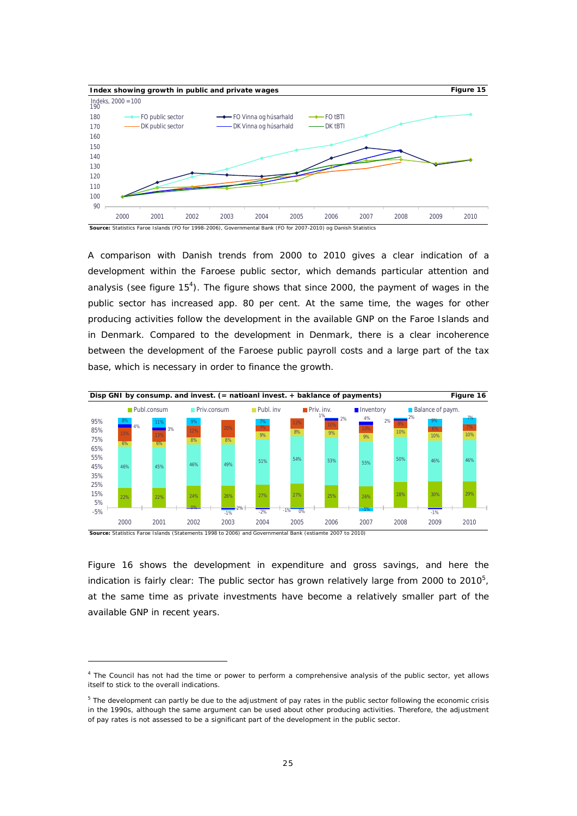

A comparison with Danish trends from 2000 to 2010 gives a clear indication of a development within the Faroese public sector, which demands particular attention and analysis (see figure  $15<sup>4</sup>$ ). The figure shows that since 2000, the payment of wages in the public sector has increased app. 80 per cent. At the same time, the wages for other producing activities follow the development in the available GNP on the Faroe Islands and in Denmark. Compared to the development in Denmark, there is a clear incoherence between the development of the Faroese public payroll costs and a large part of the tax base, which is necessary in order to finance the growth.



**Source:** Statistics Faroe Islands (Statements 1998 to 2006) and Governmental Bank (estiamte 2007 to 2010)

Figure 16 shows the development in expenditure and gross savings, and here the indication is fairly clear: The public sector has grown relatively large from 2000 to 2010 $^5$ , at the same time as private investments have become a relatively smaller part of the available GNP in recent years.

<sup>&</sup>lt;sup>4</sup> The Council has not had the time or power to perform a comprehensive analysis of the public sector, yet allows itself to stick to the overall indications.

<sup>&</sup>lt;sup>5</sup> The development can partly be due to the adjustment of pay rates in the public sector following the economic crisis in the 1990s, although the same argument can be used about other producing activities. Therefore, the adjustment of pay rates is not assessed to be a significant part of the development in the public sector.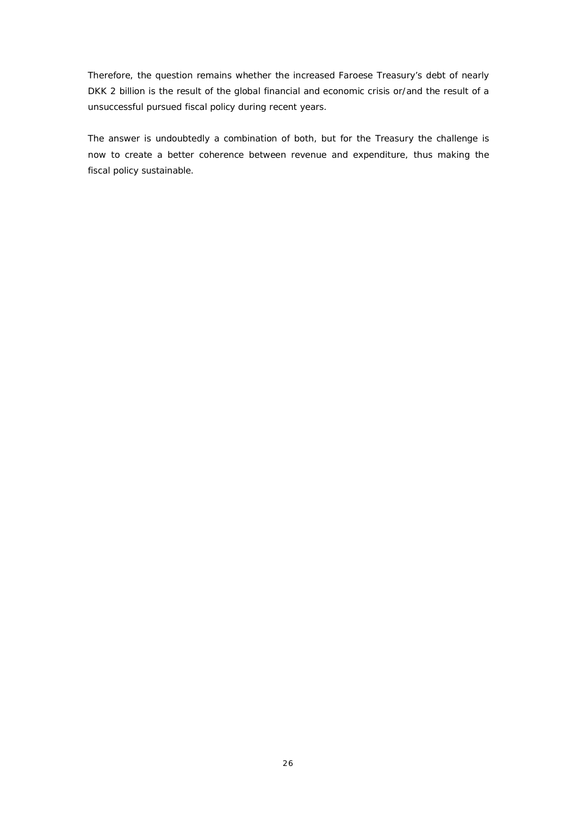Therefore, the question remains whether the increased Faroese Treasury's debt of nearly DKK 2 billion is the result of the global financial and economic crisis or/and the result of a unsuccessful pursued fiscal policy during recent years.

The answer is undoubtedly a combination of both, but for the Treasury the challenge is now to create a better coherence between revenue and expenditure, thus making the fiscal policy sustainable.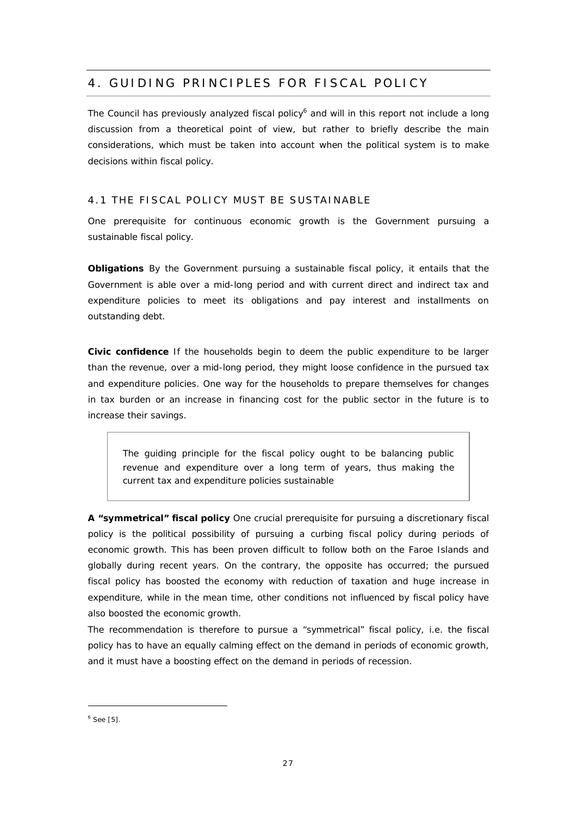# 4. GUIDING PRINCIPLES FOR FISCAL POLICY

The Council has previously analyzed fiscal policy $6$  and will in this report not include a long discussion from a theoretical point of view, but rather to briefly describe the main considerations, which must be taken into account when the political system is to make decisions within fiscal policy.

## 4.1 THE FISCAL POLICY MUST BE SUSTAINABLE

One prerequisite for continuous economic growth is the Government pursuing a sustainable fiscal policy.

**Obligations** By the Government pursuing a sustainable fiscal policy, it entails that the Government is able over a mid-long period and with current direct and indirect tax and expenditure policies to meet its obligations and pay interest and installments on outstanding debt.

**Civic confidence** If the households begin to deem the public expenditure to be larger than the revenue, over a mid-long period, they might loose confidence in the pursued tax and expenditure policies. One way for the households to prepare themselves for changes in tax burden or an increase in financing cost for the public sector in the future is to increase their savings.

*The guiding principle for the fiscal policy ought to be balancing public revenue and expenditure over a long term of years, thus making the current tax and expenditure policies sustainable*

**A "symmetrical" fiscal policy** One crucial prerequisite for pursuing a discretionary fiscal policy is the political possibility of pursuing a curbing fiscal policy during periods of economic growth. This has been proven difficult to follow both on the Faroe Islands and globally during recent years. On the contrary, the opposite has occurred; the pursued fiscal policy has boosted the economy with reduction of taxation and huge increase in expenditure, while in the mean time, other conditions not influenced by fiscal policy have also boosted the economic growth.

The recommendation is therefore to pursue a "symmetrical" fiscal policy, i.e. the fiscal policy has to have an equally calming effect on the demand in periods of economic growth, and it must have a boosting effect on the demand in periods of recession.

 $6$  See [5].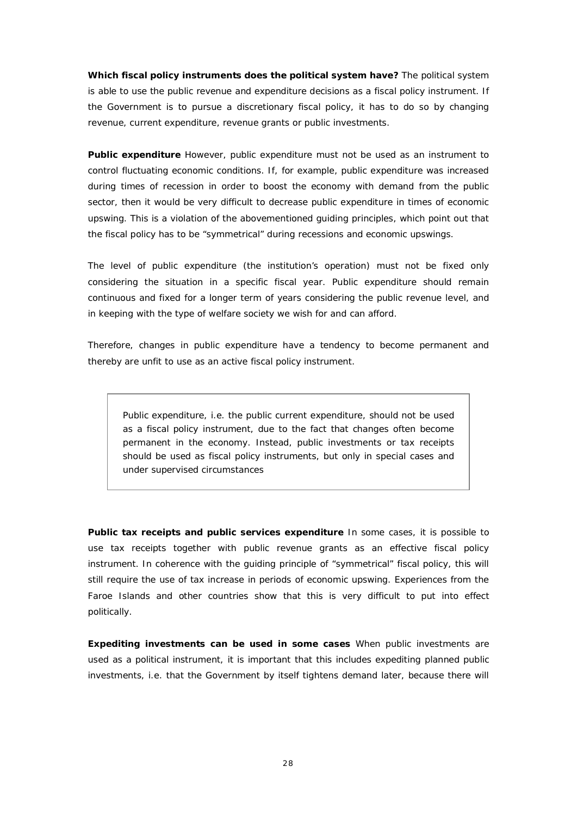**Which fiscal policy instruments does the political system have?** The political system is able to use the public revenue and expenditure decisions as a fiscal policy instrument. If the Government is to pursue a discretionary fiscal policy, it has to do so by changing revenue, current expenditure, revenue grants or public investments.

**Public expenditure** However, public expenditure must not be used as an instrument to control fluctuating economic conditions. If, for example, public expenditure was increased during times of recession in order to boost the economy with demand from the public sector, then it would be very difficult to decrease public expenditure in times of economic upswing. This is a violation of the abovementioned guiding principles, which point out that the fiscal policy has to be "symmetrical" during recessions and economic upswings.

The level of public expenditure (the institution's operation) must not be fixed only considering the situation in a specific fiscal year. Public expenditure should remain continuous and fixed for a longer term of years considering the public revenue level, and in keeping with the type of welfare society we wish for and can afford.

Therefore, changes in public expenditure have a tendency to become permanent and thereby are unfit to use as an active fiscal policy instrument.

*Public expenditure, i.e. the public current expenditure, should not be used as a fiscal policy instrument, due to the fact that changes often become permanent in the economy. Instead, public investments or tax receipts should be used as fiscal policy instruments, but only in special cases and under supervised circumstances*

**Public tax receipts and public services expenditure** In some cases, it is possible to use tax receipts together with public revenue grants as an effective fiscal policy instrument. In coherence with the guiding principle of "symmetrical" fiscal policy, this will still require the use of tax increase in periods of economic upswing. Experiences from the Faroe Islands and other countries show that this is very difficult to put into effect politically.

**Expediting investments can be used in some cases** When public investments are used as a political instrument, it is important that this includes expediting *planned* public investments, i.e. that the Government by itself tightens demand later, because there will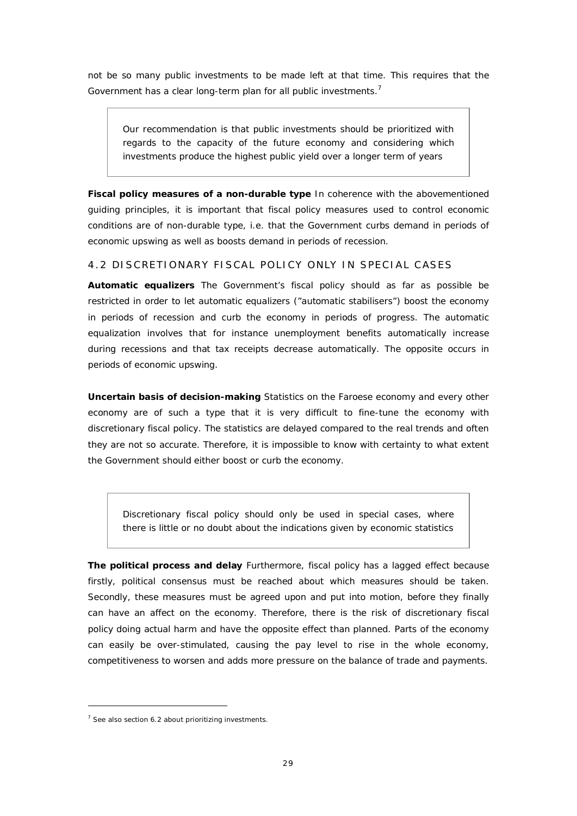not be so many public investments to be made left at that time. This requires that the Government has a clear long-term plan for all public investments.<sup>7</sup>

*Our recommendation is that public investments should be prioritized with regards to the capacity of the future economy and considering which investments produce the highest public yield over a longer term of years*

**Fiscal policy measures of a non-durable type** In coherence with the abovementioned guiding principles, it is important that fiscal policy measures used to control economic conditions are of non-durable type, i.e. that the Government curbs demand in periods of economic upswing as well as boosts demand in periods of recession.

#### 4.2 DISCRETIONARY FISCAL POLICY ONLY IN SPECIAL CASES

**Automatic equalizers** The Government's fiscal policy should as far as possible be restricted in order to let automatic equalizers ("automatic stabilisers") boost the economy in periods of recession and curb the economy in periods of progress. The automatic equalization involves that for instance unemployment benefits automatically increase during recessions and that tax receipts decrease automatically. The opposite occurs in periods of economic upswing.

**Uncertain basis of decision-making** Statistics on the Faroese economy and every other economy are of such a type that it is very difficult to fine-tune the economy with discretionary fiscal policy. The statistics are delayed compared to the real trends and often they are not so accurate. Therefore, it is impossible to know with certainty to what extent the Government should either boost or curb the economy.

*Discretionary fiscal policy should only be used in special cases, where there is little or no doubt about the indications given by economic statistics*

**The political process and delay** Furthermore, fiscal policy has a lagged effect because firstly, political consensus must be reached about which measures should be taken. Secondly, these measures must be agreed upon and put into motion, before they finally can have an affect on the economy. Therefore, there is the risk of discretionary fiscal policy doing actual harm and have the opposite effect than planned. Parts of the economy can easily be over-stimulated, causing the pay level to rise in the whole economy, competitiveness to worsen and adds more pressure on the balance of trade and payments.

 $7$  See also section 6.2 about prioritizing investments.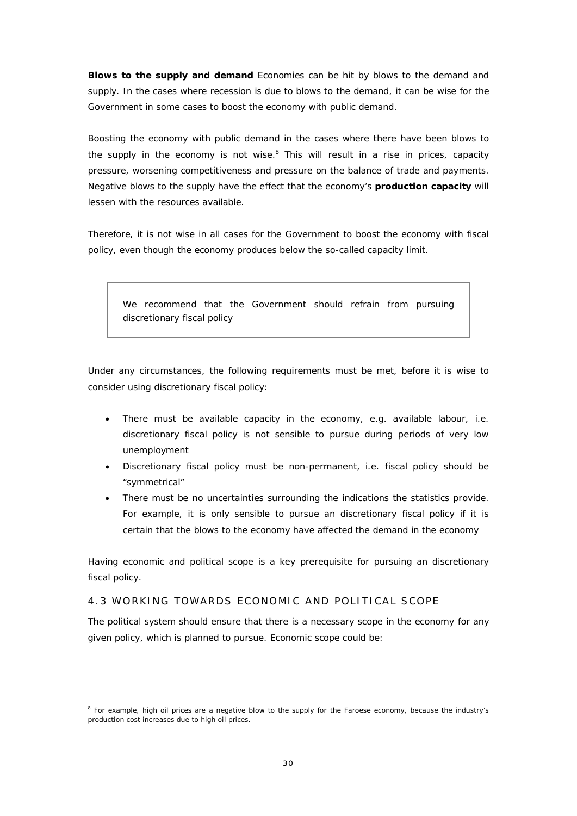**Blows to the supply and demand** Economies can be hit by blows to the demand and supply. In the cases where recession is due to blows to the demand, it can be wise for the Government in some cases to boost the economy with public demand.

Boosting the economy with public demand in the cases where there have been blows to the supply in the economy is not wise. $8$  This will result in a rise in prices, capacity pressure, worsening competitiveness and pressure on the balance of trade and payments. Negative blows to the supply have the effect that the economy's **production capacity** will lessen with the resources available.

Therefore, it is not wise in all cases for the Government to boost the economy with fiscal policy, even though the economy produces below the so-called capacity limit.

*We recommend that the Government should refrain from pursuing discretionary fiscal policy*

Under any circumstances, the following requirements must be met, before it is wise to consider using discretionary fiscal policy:

- There must be available capacity in the economy, e.g. available labour, i.e. discretionary fiscal policy is not sensible to pursue during periods of very low unemployment
- Discretionary fiscal policy must be non-permanent, i.e. fiscal policy should be "symmetrical"
- There must be no uncertainties surrounding the indications the statistics provide. For example, it is only sensible to pursue an discretionary fiscal policy if it is certain that the blows to the economy have affected the demand in the economy

Having economic and political scope is a key prerequisite for pursuing an discretionary fiscal policy.

## 4.3 WORKING TOWARDS ECONOMIC AND POLITICAL SCOPE

The political system should ensure that there is a necessary scope in the economy for any given policy, which is planned to pursue. Economic scope could be:

<sup>&</sup>lt;sup>8</sup> For example, high oil prices are a negative blow to the supply for the Faroese economy, because the industry's production cost increases due to high oil prices.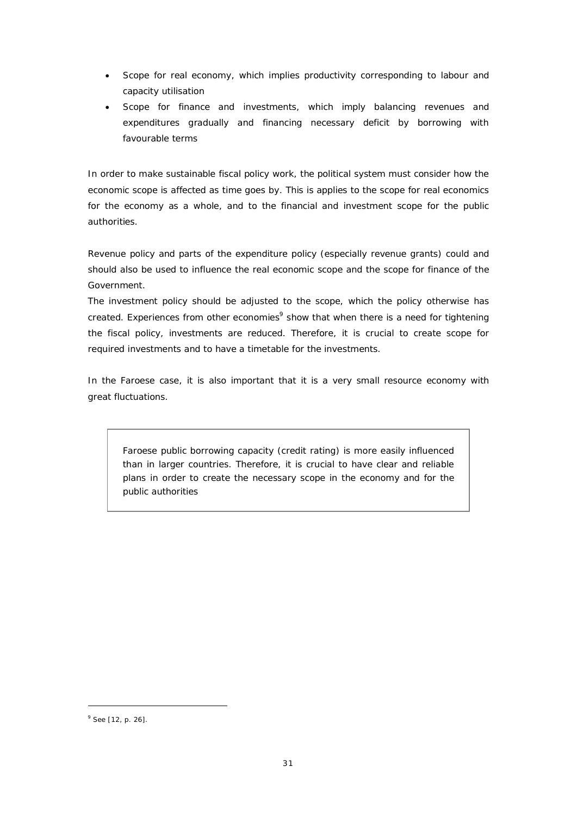- Scope for real economy, which implies productivity corresponding to labour and capacity utilisation
- Scope for finance and investments, which imply balancing revenues and expenditures gradually and financing necessary deficit by borrowing with favourable terms

In order to make sustainable fiscal policy work, the political system must consider how the economic scope is affected as time goes by. This is applies to the scope for real economics for the economy as a whole, and to the financial and investment scope for the public authorities.

Revenue policy and parts of the expenditure policy (especially revenue grants) could and should also be used to influence the real economic scope and the scope for finance of the Government.

The investment policy should be adjusted to the scope, which the policy otherwise has created. Experiences from other economies<sup>9</sup> show that when there is a need for tightening the fiscal policy, investments are reduced. Therefore, it is crucial to create scope for required investments and to have a timetable for the investments.

In the Faroese case, it is also important that it is a very small resource economy with great fluctuations.

*Faroese public borrowing capacity (credit rating) is more easily influenced than in larger countries. Therefore, it is crucial to have clear and reliable plans in order to create the necessary scope in the economy and for the public authorities*

<sup>&</sup>lt;sup>9</sup> See [12, p. 26].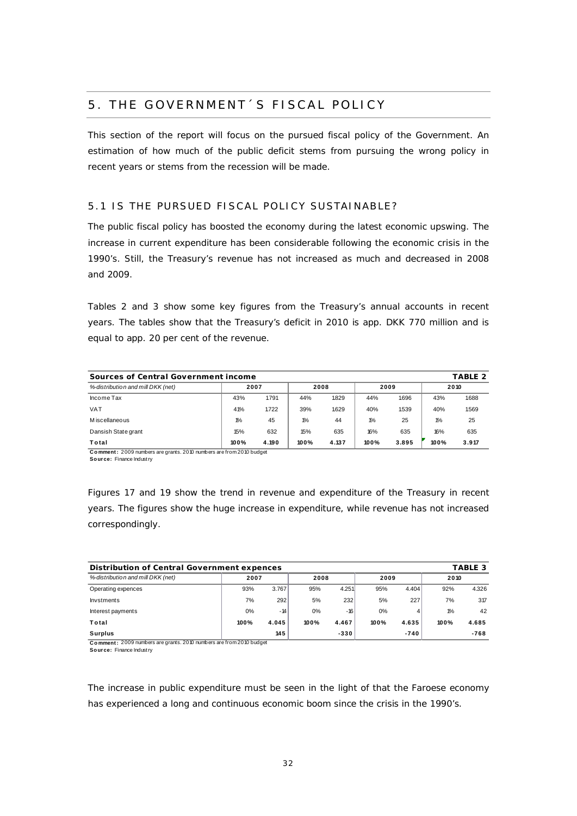# 5. THE GOVERNMENT´S FISCAL POLICY

This section of the report will focus on the pursued fiscal policy of the Government. An estimation of how much of the public deficit stems from pursuing the wrong policy in recent years or stems from the recession will be made.

# 5.1 IS THE PURSUED FISCAL POLICY SUSTAINABLE?

The public fiscal policy has boosted the economy during the latest economic upswing. The increase in current expenditure has been considerable following the economic crisis in the 1990's. Still, the Treasury's revenue has not increased as much and decreased in 2008 and 2009.

Tables 2 and 3 show some key figures from the Treasury's annual accounts in recent years. The tables show that the Treasury's deficit in 2010 is app. DKK 770 million and is equal to app. 20 per cent of the revenue.

| Sources of Central Government income<br>TABLE 2 |       |       |               |       |       |       |       |       |  |  |
|-------------------------------------------------|-------|-------|---------------|-------|-------|-------|-------|-------|--|--|
| %-distribution and mill DKK (net)               | 2007  | 2008  |               | 2009  |       | 2010  |       |       |  |  |
| Income Tax                                      | 43%   | 1.791 | 44%           | 1.829 | 44%   | 1.696 | 43%   | 1.688 |  |  |
| <b>VAT</b>                                      | 41%   | 1.722 | 39%           | 1.629 | 40%   | 1539  | 40%   | 1.569 |  |  |
| M iscellaneous                                  | $1\%$ | 45    | $\frac{1}{2}$ | 44    | $1\%$ | 25    | $1\%$ | 25    |  |  |
| Dansish State grant                             | 15%   | 632   | 15%           | 635   | 16%   | 635   | 16%   | 635   |  |  |
| Total                                           | 100%  | 4.190 | 100%          | 4.137 | 100%  | 3.895 | 100%  | 3.917 |  |  |

**C o mment :** 2009 numbers are grants. 2010 numbers are from 2010 budget **Source:** Finance Industry

Figures 17 and 19 show the trend in revenue and expenditure of the Treasury in recent years. The figures show the huge increase in expenditure, while revenue has not increased correspondingly.

| Distribution of Central Government expences |      |       |      |        |      |        |       | TABLE 3 |
|---------------------------------------------|------|-------|------|--------|------|--------|-------|---------|
| %-distribution and mill DKK (net)           | 2007 |       | 2008 |        | 2009 |        | 2010  |         |
| Operating expences                          | 93%  | 3.767 | 95%  | 4.251  | 95%  | 4.404  | 92%   | 4.326   |
| Invstments                                  | 7%   | 292   | 5%   | 232    | 5%   | 227    | 7%    | 317     |
| Interest payments                           | 0%   | $-14$ | 0%   | -16    | 0%   |        | $1\%$ | 42      |
| Total                                       | 100% | 4.045 | 100% | 4.467  | 100% | 4.635  | 100%  | 4.685   |
| Surplus                                     |      | 145   |      | $-330$ |      | $-740$ |       | $-768$  |

**Comment:** 2009 numbers are grants. 2010 numbers are from 2010 budget

**Source:** Finance Industry

The increase in public expenditure must be seen in the light of that the Faroese economy has experienced a long and continuous economic boom since the crisis in the 1990's.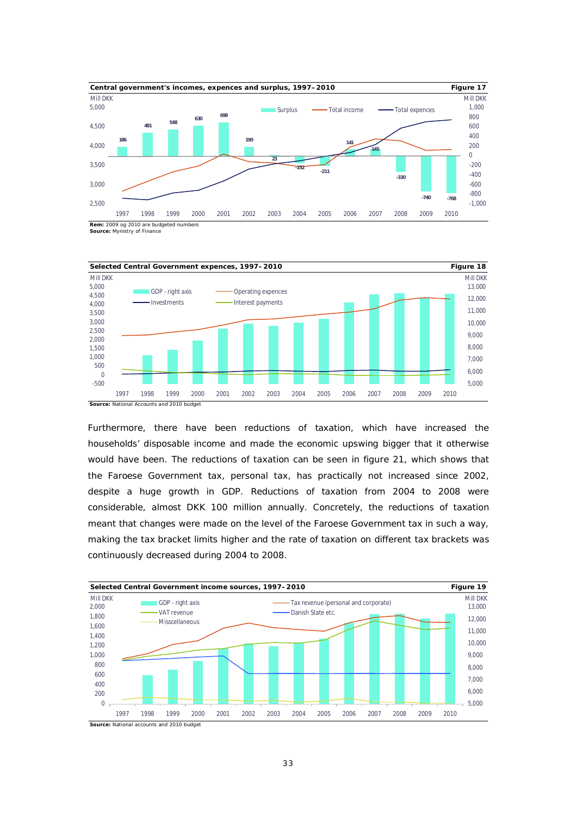

**Source:** Mynistry of Finance



Furthermore, there have been reductions of taxation, which have increased the households' disposable income and made the economic upswing bigger that it otherwise would have been. The reductions of taxation can be seen in figure 21, which shows that the Faroese Government tax, personal tax, has practically not increased since 2002, despite a huge growth in GDP. Reductions of taxation from 2004 to 2008 were considerable, almost DKK 100 million annually. Concretely, the reductions of taxation meant that changes were made on the level of the Faroese Government tax in such a way, making the tax bracket limits higher and the rate of taxation on different tax brackets was continuously decreased during 2004 to 2008.

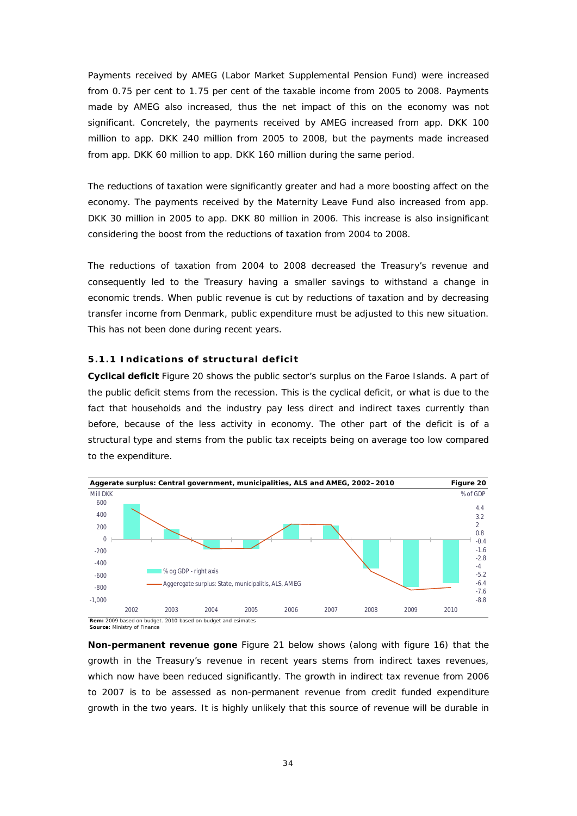Payments received by AMEG (Labor Market Supplemental Pension Fund) were increased from 0.75 per cent to 1.75 per cent of the taxable income from 2005 to 2008. Payments made by AMEG also increased, thus the net impact of this on the economy was not significant. Concretely, the payments received by AMEG increased from app. DKK 100 million to app. DKK 240 million from 2005 to 2008, but the payments made increased from app. DKK 60 million to app. DKK 160 million during the same period.

The reductions of taxation were significantly greater and had a more boosting affect on the economy. The payments received by the Maternity Leave Fund also increased from app. DKK 30 million in 2005 to app. DKK 80 million in 2006. This increase is also insignificant considering the boost from the reductions of taxation from 2004 to 2008.

The reductions of taxation from 2004 to 2008 decreased the Treasury's revenue and consequently led to the Treasury having a smaller savings to withstand a change in economic trends. When public revenue is cut by reductions of taxation and by decreasing transfer income from Denmark, public expenditure must be adjusted to this new situation. This has not been done during recent years.

#### **5.1.1 Indications of structural deficit**

**Cyclical deficit** Figure 20 shows the public sector's surplus on the Faroe Islands. A part of the public deficit stems from the recession. This is the cyclical deficit, or what is due to the fact that households and the industry pay less direct and indirect taxes currently than before, because of the less activity in economy. The other part of the deficit is of a structural type and stems from the public tax receipts being on average too low compared to the expenditure.



**Source:** Ministry of Finance

**Non-permanent revenue gone** Figure 21 below shows (along with figure 16) that the growth in the Treasury's revenue in recent years stems from indirect taxes revenues, which now have been reduced significantly. The growth in indirect tax revenue from 2006 to 2007 is to be assessed as non-permanent revenue from credit funded expenditure growth in the two years. It is highly unlikely that this source of revenue will be durable in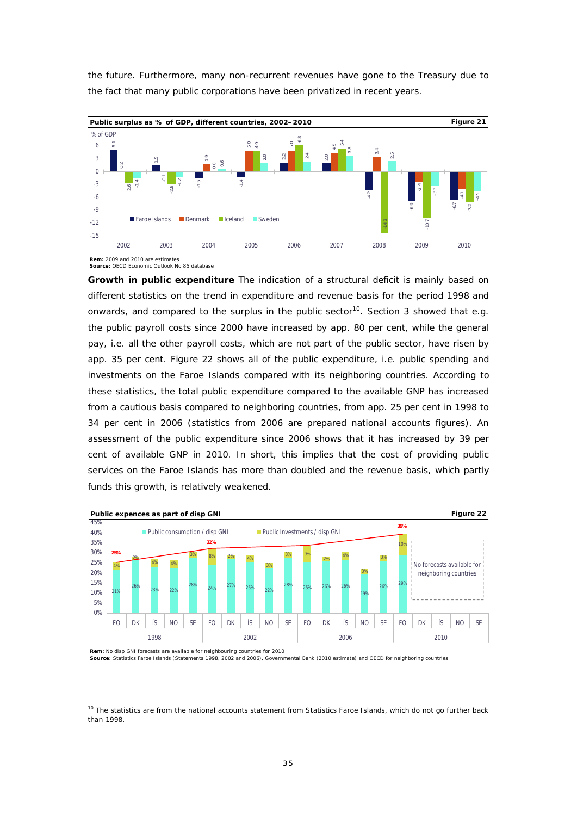

the future. Furthermore, many non-recurrent revenues have gone to the Treasury due to the fact that many public corporations have been privatized in recent years.

**Source:** OECD Economic Outlook No 85 database

**Growth in public expenditure** The indication of a structural deficit is mainly based on different statistics on the trend in expenditure and revenue basis for the period 1998 and onwards, and compared to the surplus in the public sector<sup>10</sup>. Section 3 showed that e.g. the public payroll costs since 2000 have increased by app. 80 per cent, while the general pay, i.e. all the other payroll costs, which are not part of the public sector, have risen by app. 35 per cent. Figure 22 shows all of the public expenditure, i.e. public spending and investments on the Faroe Islands compared with its neighboring countries. According to these statistics, the total public expenditure compared to the available GNP has increased from a cautious basis compared to neighboring countries, from app. 25 per cent in 1998 to 34 per cent in 2006 (statistics from 2006 are prepared national accounts figures). An assessment of the public expenditure since 2006 shows that it has increased by 39 per cent of available GNP in 2010. In short, this implies that the cost of providing public services on the Faroe Islands has more than doubled and the revenue basis, which partly funds this growth, is relatively weakened.



**Source**: Statistics Faroe Islands (Statements 1998, 2002 and 2006), Governmental Bank (2010 estimate) and OECD for neighboring countries

 $10$  The statistics are from the national accounts statement from Statistics Faroe Islands, which do not go further back than 1998.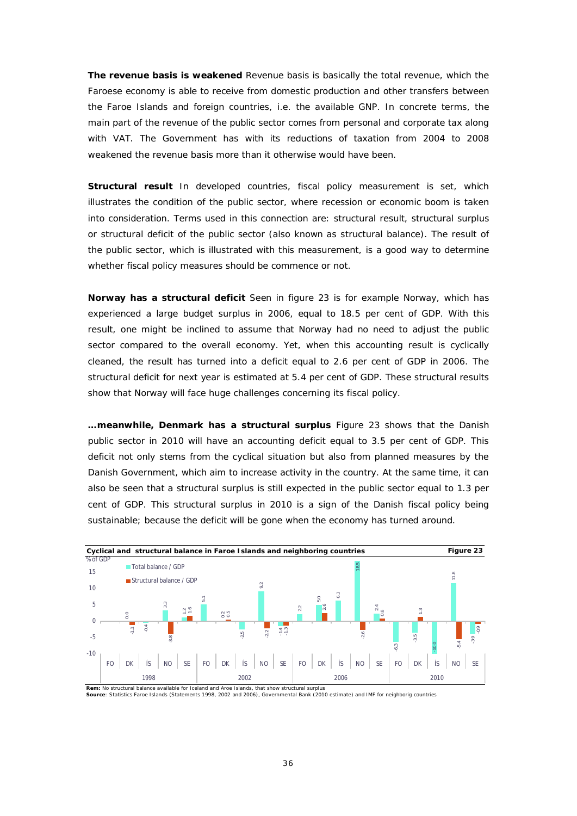**The revenue basis is weakened** Revenue basis is basically the total revenue, which the Faroese economy is able to receive from domestic production and other transfers between the Faroe Islands and foreign countries, i.e. the available GNP. In concrete terms, the main part of the revenue of the public sector comes from personal and corporate tax along with VAT. The Government has with its reductions of taxation from 2004 to 2008 weakened the revenue basis more than it otherwise would have been.

**Structural result** In developed countries, fiscal policy measurement is set, which illustrates the condition of the public sector, where recession or economic boom is taken into consideration. Terms used in this connection are: structural result, structural surplus or structural deficit of the public sector (also known as structural balance). The result of the public sector, which is illustrated with this measurement, is a good way to determine whether fiscal policy measures should be commence or not.

**Norway has a structural deficit** Seen in figure 23 is for example Norway, which has experienced a large budget surplus in 2006, equal to 18.5 per cent of GDP. With this result, one might be inclined to assume that Norway had no need to adjust the public sector compared to the overall economy. Yet, when this accounting result is cyclically cleaned, the result has turned into a deficit equal to 2.6 per cent of GDP in 2006. The structural deficit for next year is estimated at 5.4 per cent of GDP. These structural results show that Norway will face huge challenges concerning its fiscal policy.

**…meanwhile, Denmark has a structural surplus** Figure 23 shows that the Danish public sector in 2010 will have an accounting deficit equal to 3.5 per cent of GDP. This deficit not only stems from the cyclical situation but also from planned measures by the Danish Government, which aim to increase activity in the country. At the same time, it can also be seen that a structural surplus is still expected in the public sector equal to 1.3 per cent of GDP. This structural surplus in 2010 is a sign of the Danish fiscal policy being sustainable; because the deficit will be gone when the economy has turned around.



**Source**: Statistics Faroe Islands (Statements 1998, 2002 and 2006), Governmental Bank (2010 estimate) and IMF for neighborig countries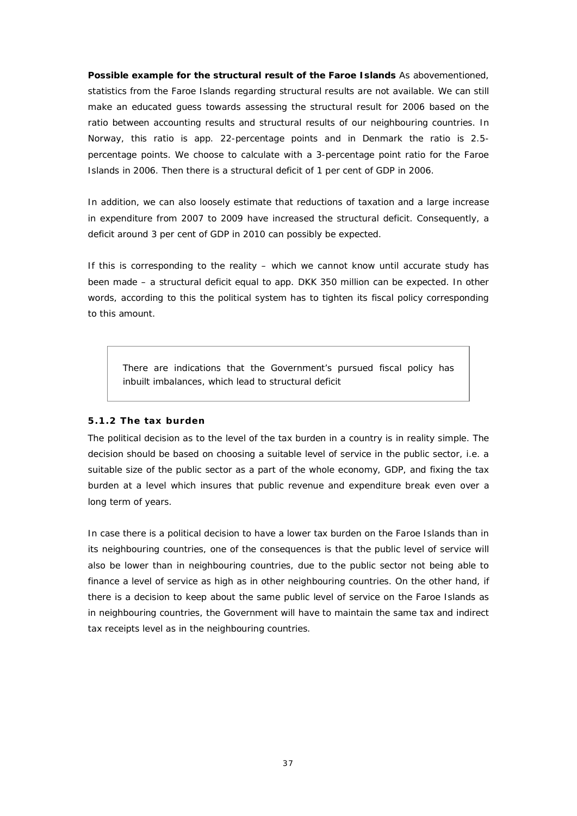**Possible example for the structural result of the Faroe Islands** As abovementioned, statistics from the Faroe Islands regarding structural results are not available. We can still make an educated guess towards assessing the structural result for 2006 based on the ratio between accounting results and structural results of our neighbouring countries. In Norway, this ratio is app. 22-percentage points and in Denmark the ratio is 2.5 percentage points. We choose to calculate with a 3-percentage point ratio for the Faroe Islands in 2006. Then there is a structural deficit of 1 per cent of GDP in 2006.

In addition, we can also loosely estimate that reductions of taxation and a large increase in expenditure from 2007 to 2009 have increased the structural deficit. Consequently, a deficit around 3 per cent of GDP in 2010 can possibly be expected.

If this is corresponding to the reality – which we cannot know until accurate study has been made – a structural deficit equal to app. DKK 350 million can be expected. In other words, according to this the political system has to tighten its fiscal policy corresponding to this amount.

*There are indications that the Government's pursued fiscal policy has inbuilt imbalances, which lead to structural deficit*

#### **5.1.2 The tax burden**

The political decision as to the level of the tax burden in a country is in reality simple. The decision should be based on choosing a suitable level of service in the public sector, i.e. a suitable size of the public sector as a part of the whole economy, GDP, and fixing the tax burden at a level which insures that public revenue and expenditure break even over a long term of years.

In case there is a political decision to have a lower tax burden on the Faroe Islands than in its neighbouring countries, one of the consequences is that the public level of service will also be lower than in neighbouring countries, due to the public sector not being able to finance a level of service as high as in other neighbouring countries. On the other hand, if there is a decision to keep about the same public level of service on the Faroe Islands as in neighbouring countries, the Government will have to maintain the same tax and indirect tax receipts level as in the neighbouring countries.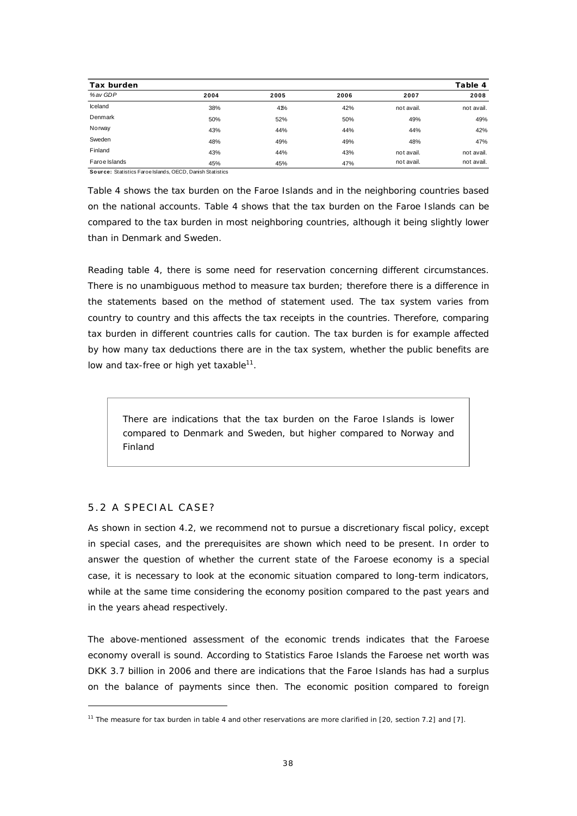| Tax burden    |      |      |      |            | Table 4    |
|---------------|------|------|------|------------|------------|
| % av GDP      | 2004 | 2005 | 2006 | 2007       | 2008       |
| Iceland       | 38%  | 41%  | 42%  | not avail. | not avail. |
| Denmark       | 50%  | 52%  | 50%  | 49%        | 49%        |
| Norway        | 43%  | 44%  | 44%  | 44%        | 42%        |
| Sweden        | 48%  | 49%  | 49%  | 48%        | 47%        |
| Finland       | 43%  | 44%  | 43%  | not avail. | not avail. |
| Faroe Islands | 45%  | 45%  | 47%  | not avail. | not avail. |

**Source:** Statistics Faroe Islands, OECD, Danish Statistics

Table 4 shows the tax burden on the Faroe Islands and in the neighboring countries based on the national accounts. Table 4 shows that the tax burden on the Faroe Islands can be compared to the tax burden in most neighboring countries, although it being slightly lower than in Denmark and Sweden.

Reading table 4, there is some need for reservation concerning different circumstances. There is no unambiguous method to measure tax burden; therefore there is a difference in the statements based on the method of statement used. The tax system varies from country to country and this affects the tax receipts in the countries. Therefore, comparing tax burden in different countries calls for caution. The tax burden is for example affected by how many tax deductions there are in the tax system, whether the public benefits are low and tax-free or high yet taxable $^{11}$ .

*There are indications that the tax burden on the Faroe Islands is lower compared to Denmark and Sweden, but higher compared to Norway and Finland*

#### 5.2 A SPECIAL CASE?

As shown in section 4.2, we recommend not to pursue a discretionary fiscal policy, except in special cases, and the prerequisites are shown which need to be present. In order to answer the question of whether the current state of the Faroese economy is a special case, it is necessary to look at the economic situation compared to long-term indicators, while at the same time considering the economy position compared to the past years and in the years ahead respectively.

The above-mentioned assessment of the economic trends indicates that the Faroese economy overall is sound. According to Statistics Faroe Islands the Faroese net worth was DKK 3.7 billion in 2006 and there are indications that the Faroe Islands has had a surplus on the balance of payments since then. The economic position compared to foreign

<sup>&</sup>lt;sup>11</sup> The measure for tax burden in table 4 and other reservations are more clarified in [20, section 7.2] and [7].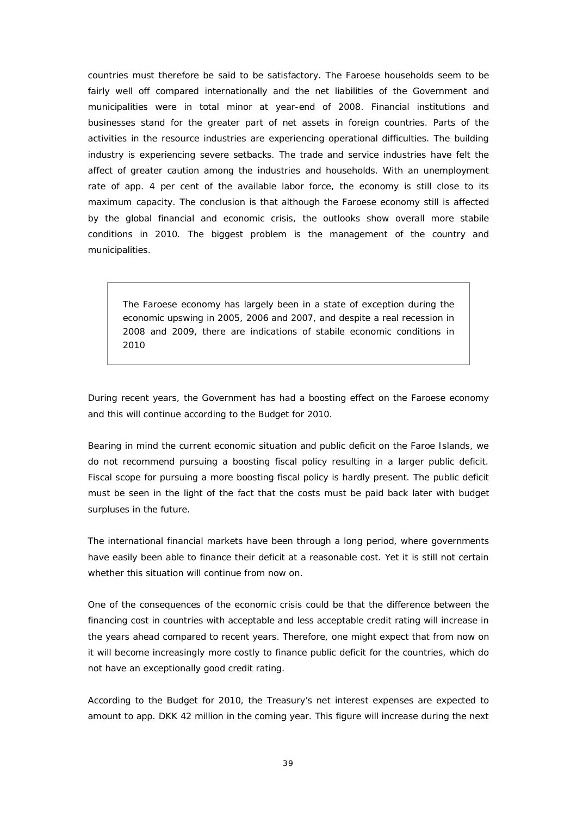countries must therefore be said to be satisfactory. The Faroese households seem to be fairly well off compared internationally and the net liabilities of the Government and municipalities were in total minor at year-end of 2008. Financial institutions and businesses stand for the greater part of net assets in foreign countries. Parts of the activities in the resource industries are experiencing operational difficulties. The building industry is experiencing severe setbacks. The trade and service industries have felt the affect of greater caution among the industries and households. With an unemployment rate of app. 4 per cent of the available labor force, the economy is still close to its maximum capacity. The conclusion is that although the Faroese economy still is affected by the global financial and economic crisis, the outlooks show overall more stabile conditions in 2010. The biggest problem is the management of the country and municipalities.

*The Faroese economy has largely been in a state of exception during the economic upswing in 2005, 2006 and 2007, and despite a real recession in 2008 and 2009, there are indications of stabile economic conditions in 2010*

During recent years, the Government has had a boosting effect on the Faroese economy and this will continue according to the Budget for 2010.

Bearing in mind the current economic situation and public deficit on the Faroe Islands, we do not recommend pursuing a boosting fiscal policy resulting in a larger public deficit. Fiscal scope for pursuing a more boosting fiscal policy is hardly present. The public deficit must be seen in the light of the fact that the costs must be paid back later with budget surpluses in the future.

The international financial markets have been through a long period, where governments have easily been able to finance their deficit at a reasonable cost. Yet it is still not certain whether this situation will continue from now on.

One of the consequences of the economic crisis could be that the difference between the financing cost in countries with acceptable and less acceptable credit rating will increase in the years ahead compared to recent years. Therefore, one might expect that from now on it will become increasingly more costly to finance public deficit for the countries, which do not have an exceptionally good credit rating.

According to the Budget for 2010, the Treasury's net interest expenses are expected to amount to app. DKK 42 million in the coming year. This figure will increase during the next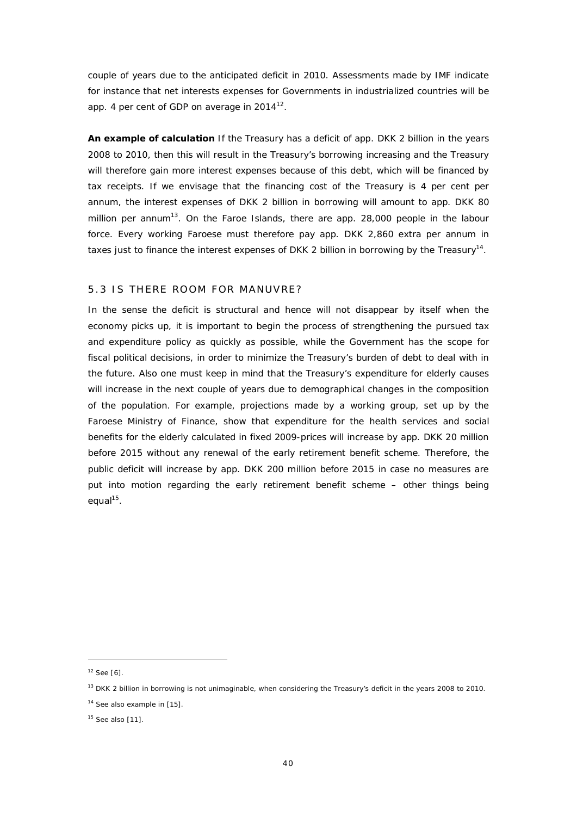couple of years due to the anticipated deficit in 2010. Assessments made by IMF indicate for instance that net interests expenses for Governments in industrialized countries will be app. 4 per cent of GDP on average in  $2014^{12}$ .

**An example of calculation** If the Treasury has a deficit of app. DKK 2 billion in the years 2008 to 2010, then this will result in the Treasury's borrowing increasing and the Treasury will therefore gain more interest expenses because of this debt, which will be financed by tax receipts. If we envisage that the financing cost of the Treasury is 4 per cent per annum, the interest expenses of DKK 2 billion in borrowing will amount to app. DKK 80 million per annum<sup>13</sup>. On the Faroe Islands, there are app. 28,000 people in the labour force. Every working Faroese must therefore pay app. DKK 2,860 extra per annum in taxes just to finance the interest expenses of DKK 2 billion in borrowing by the Treasury<sup>14</sup>.

#### 5.3 IS THERE ROOM FOR MANUVRE?

In the sense the deficit is structural and hence will not disappear by itself when the economy picks up, it is important to begin the process of strengthening the pursued tax and expenditure policy as quickly as possible, while the Government has the scope for fiscal political decisions, in order to minimize the Treasury's burden of debt to deal with in the future. Also one must keep in mind that the Treasury's expenditure for elderly causes will increase in the next couple of years due to demographical changes in the composition of the population. For example, projections made by a working group, set up by the Faroese Ministry of Finance, show that expenditure for the health services and social benefits for the elderly calculated in fixed 2009-prices will increase by app. DKK 20 million before 2015 without any renewal of the early retirement benefit scheme. Therefore, the public deficit will increase by app. DKK 200 million before 2015 in case no measures are put into motion regarding the early retirement benefit scheme – other things being equal<sup>15</sup>.

 $12$  See [6].

<sup>&</sup>lt;sup>13</sup> DKK 2 billion in borrowing is not unimaginable, when considering the Treasury's deficit in the years 2008 to 2010.

<sup>&</sup>lt;sup>14</sup> See also example in [15].

 $15$  See also [11].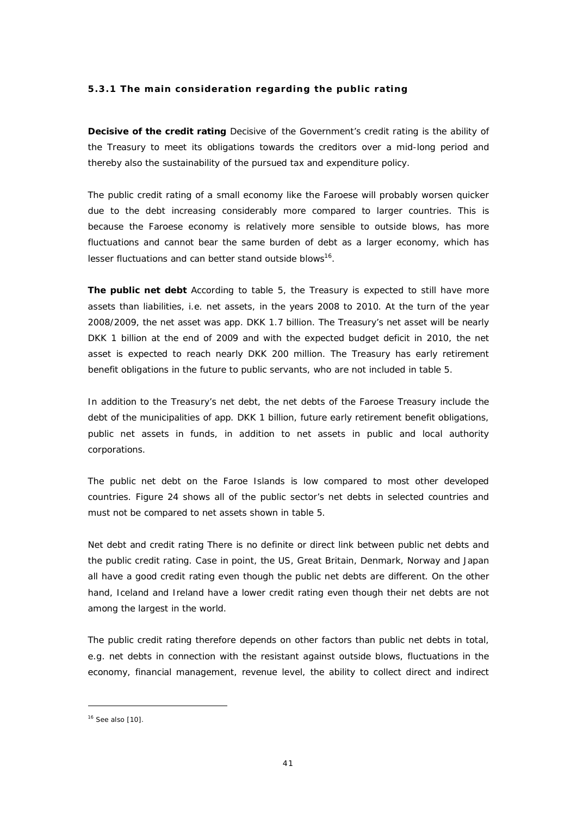#### **5.3.1 The main consideration regarding the public rating**

**Decisive of the credit rating** Decisive of the Government's credit rating is the ability of the Treasury to meet its obligations towards the creditors over a mid-long period and thereby also the sustainability of the pursued tax and expenditure policy.

The public credit rating of a small economy like the Faroese will probably worsen quicker due to the debt increasing considerably more compared to larger countries. This is because the Faroese economy is relatively more sensible to outside blows, has more fluctuations and cannot bear the same burden of debt as a larger economy, which has lesser fluctuations and can better stand outside blows<sup>16</sup>.

**The public net debt** According to table 5, the Treasury is expected to still have more assets than liabilities, i.e. net assets, in the years 2008 to 2010. At the turn of the year 2008/2009, the net asset was app. DKK 1.7 billion. The Treasury's net asset will be nearly DKK 1 billion at the end of 2009 and with the expected budget deficit in 2010, the net asset is expected to reach nearly DKK 200 million. The Treasury has early retirement benefit obligations in the future to public servants, who are not included in table 5.

In addition to the Treasury's net debt, the net debts of the Faroese Treasury include the debt of the municipalities of app. DKK 1 billion, future early retirement benefit obligations, public net assets in funds, in addition to net assets in public and local authority corporations.

The public net debt on the Faroe Islands is low compared to most other developed countries. Figure 24 shows all of the public sector's net debts in selected countries and must not be compared to net assets shown in table 5.

Net debt and credit rating There is no definite or direct link between public net debts and the public credit rating. Case in point, the US, Great Britain, Denmark, Norway and Japan all have a good credit rating even though the public net debts are different. On the other hand, Iceland and Ireland have a lower credit rating even though their net debts are not among the largest in the world.

The public credit rating therefore depends on other factors than public net debts in total, e.g. net debts in connection with the resistant against outside blows, fluctuations in the economy, financial management, revenue level, the ability to collect direct and indirect

 $16$  See also [10].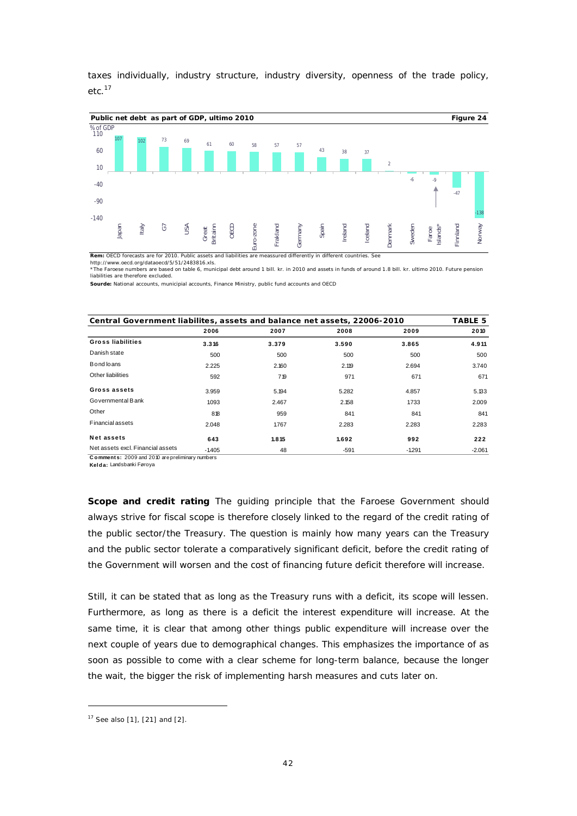taxes individually, industry structure, industry diversity, openness of the trade policy, etc.<sup>17</sup>



Rem: OECD forecasts are for 2010. Public assets and liabilities are meassured differently in different countries

<http://www.oecd.org/dataoecd/5/51/2483816.xls.><br>\*The Faroese numbers are based on table 6, municipal debt around 1 bill. kr. in 2010 and assets in funds of around 1.8 bill. kr. ultimo 2010. Future pension liabilities are therefore excluded.

**Sourde:** National accounts, municipial accounts, Finance Ministry, public fund accounts and OECD

| Central Government liabilites, assets and balance net assets, 22006-2010 |         |       |        |          |          |  |  |  |
|--------------------------------------------------------------------------|---------|-------|--------|----------|----------|--|--|--|
|                                                                          | 2006    | 2007  | 2008   | 2009     | 2010     |  |  |  |
| Gross liabilities                                                        | 3.316   | 3.379 | 3.590  | 3.865    | 4.911    |  |  |  |
| Danish state                                                             | 500     | 500   | 500    | 500      | 500      |  |  |  |
| Bond loans                                                               | 2.225   | 2.160 | 2.119  | 2.694    | 3.740    |  |  |  |
| Other liabilities                                                        | 592     | 719   | 971    | 671      | 671      |  |  |  |
| Gross assets                                                             | 3.959   | 5.194 | 5.282  | 4.857    | 5.133    |  |  |  |
| Governmental Bank                                                        | 1093    | 2.467 | 2.158  | 1733     | 2.009    |  |  |  |
| Other                                                                    | 818     | 959   | 841    | 841      | 841      |  |  |  |
| <b>Financial assets</b>                                                  | 2.048   | 1.767 | 2.283  | 2.283    | 2.283    |  |  |  |
| Net assets                                                               | 643     | 1.815 | 1.692  | 992      | 222      |  |  |  |
| Net assets excl. Financial assets                                        | $-1405$ | 48    | $-591$ | $-1.291$ | $-2.061$ |  |  |  |

**C o mment s:** 2009 and 2010 are preliminary numbers

**Kelda:** Landsbanki Føroya

**Scope and credit rating** The guiding principle that the Faroese Government should always strive for fiscal scope is therefore closely linked to the regard of the credit rating of the public sector/the Treasury. The question is mainly how many years can the Treasury and the public sector tolerate a comparatively significant deficit, before the credit rating of the Government will worsen and the cost of financing future deficit therefore will increase.

Still, it can be stated that as long as the Treasury runs with a deficit, its scope will lessen. Furthermore, as long as there is a deficit the interest expenditure will increase. At the same time, it is clear that among other things public expenditure will increase over the next couple of years due to demographical changes. This emphasizes the importance of as soon as possible to come with a clear scheme for long-term balance, because the longer the wait, the bigger the risk of implementing harsh measures and cuts later on.

<sup>17</sup> See also [1], [21] and [2].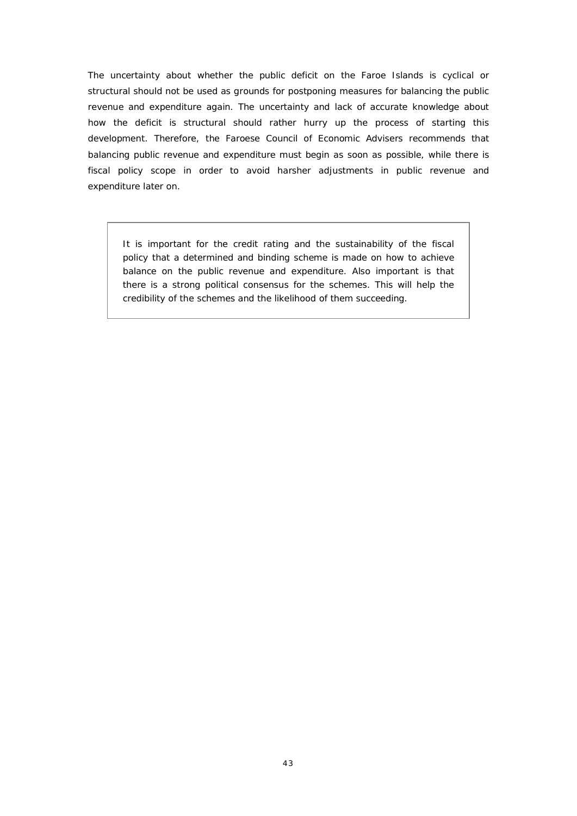The uncertainty about whether the public deficit on the Faroe Islands is cyclical or structural should not be used as grounds for postponing measures for balancing the public revenue and expenditure again. The uncertainty and lack of accurate knowledge about how the deficit is structural should rather hurry up the process of starting this development. Therefore, the Faroese Council of Economic Advisers recommends that balancing public revenue and expenditure must begin as soon as possible, while there is fiscal policy scope in order to avoid harsher adjustments in public revenue and expenditure later on.

*It is important for the credit rating and the sustainability of the fiscal policy that a determined and binding scheme is made on how to achieve balance on the public revenue and expenditure. Also important is that there is a strong political consensus for the schemes. This will help the credibility of the schemes and the likelihood of them succeeding.*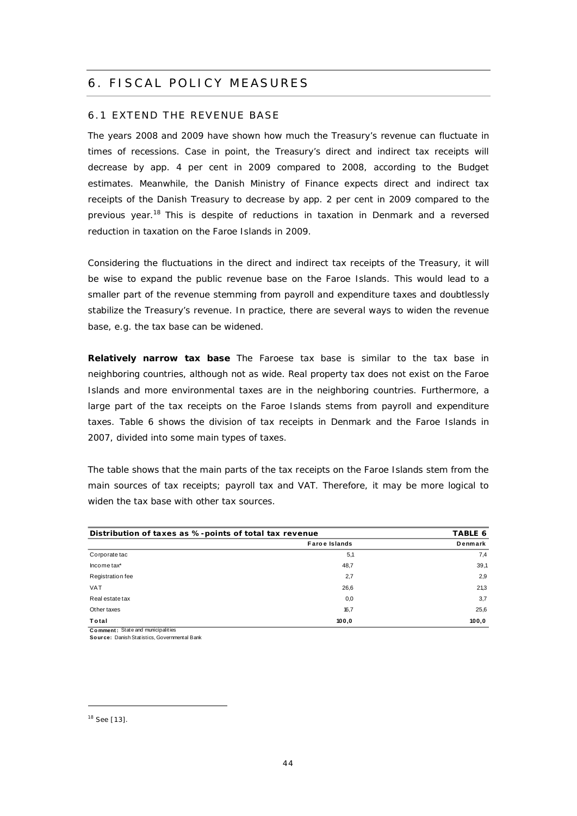# 6. FISCAL POLICY MEASURES

#### 6.1 EXTEND THE REVENUE BASE

The years 2008 and 2009 have shown how much the Treasury's revenue can fluctuate in times of recessions. Case in point, the Treasury's direct and indirect tax receipts will decrease by app. 4 per cent in 2009 compared to 2008, according to the Budget estimates. Meanwhile, the Danish Ministry of Finance expects direct and indirect tax receipts of the Danish Treasury to decrease by app. 2 per cent in 2009 compared to the previous year.<sup>18</sup> This is despite of reductions in taxation in Denmark and a reversed reduction in taxation on the Faroe Islands in 2009.

Considering the fluctuations in the direct and indirect tax receipts of the Treasury, it will be wise to expand the public revenue base on the Faroe Islands. This would lead to a smaller part of the revenue stemming from payroll and expenditure taxes and doubtlessly stabilize the Treasury's revenue. In practice, there are several ways to widen the revenue base, e.g. the tax base can be widened.

**Relatively narrow tax base** The Faroese tax base is similar to the tax base in neighboring countries, although not as wide. Real property tax does not exist on the Faroe Islands and more environmental taxes are in the neighboring countries. Furthermore, a large part of the tax receipts on the Faroe Islands stems from payroll and expenditure taxes. Table 6 shows the division of tax receipts in Denmark and the Faroe Islands in 2007, divided into some main types of taxes.

The table shows that the main parts of the tax receipts on the Faroe Islands stem from the main sources of tax receipts; payroll tax and VAT. Therefore, it may be more logical to widen the tax base with other tax sources.

| <b>VAT</b>                                             | 26,6                 | 21,3    |
|--------------------------------------------------------|----------------------|---------|
|                                                        |                      |         |
| Registration fee                                       | 2,7                  | 2,9     |
| Incometax*                                             | 48,7                 | 39,1    |
| Corporate tac                                          | 5,1                  | 7,4     |
|                                                        | <b>Faroe Islands</b> | Denmark |
| Distribution of taxes as %-points of total tax revenue | TABLE 6              |         |

**C o mment :** State and municipalities **Source:** Danish Statistics, Governmental Bank

<sup>18</sup> See [13].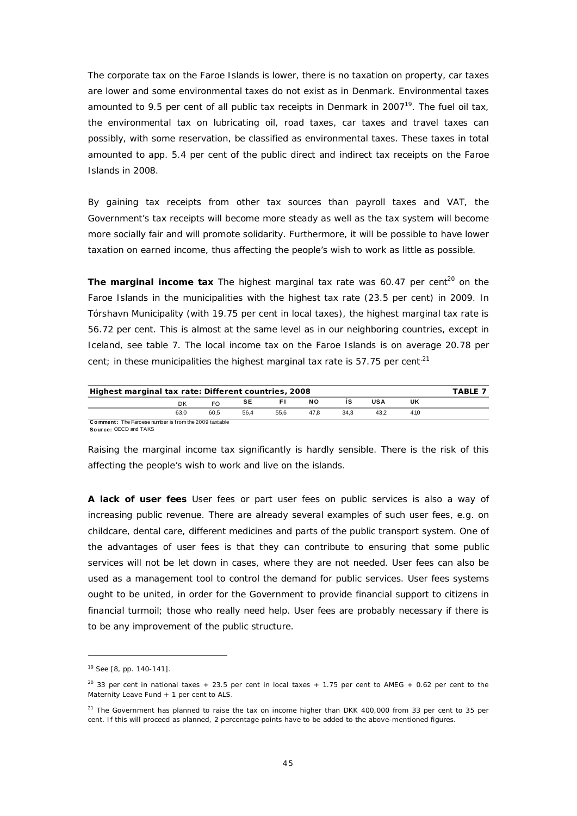The corporate tax on the Faroe Islands is lower, there is no taxation on property, car taxes are lower and some environmental taxes do not exist as in Denmark. Environmental taxes amounted to 9.5 per cent of all public tax receipts in Denmark in  $2007^{19}$ . The fuel oil tax, the environmental tax on lubricating oil, road taxes, car taxes and travel taxes can possibly, with some reservation, be classified as environmental taxes. These taxes in total amounted to app. 5.4 per cent of the public direct and indirect tax receipts on the Faroe Islands in 2008.

By gaining tax receipts from other tax sources than payroll taxes and VAT, the Government's tax receipts will become more steady as well as the tax system will become more socially fair and will promote solidarity. Furthermore, it will be possible to have lower taxation on earned income, thus affecting the people's wish to work as little as possible.

The marginal income tax The highest marginal tax rate was  $60.47$  per cent<sup>20</sup> on the Faroe Islands in the municipalities with the highest tax rate (23.5 per cent) in 2009. In Tórshavn Municipality (with 19.75 per cent in local taxes), the highest marginal tax rate is 56.72 per cent. This is almost at the same level as in our neighboring countries, except in Iceland, see table 7. The local income tax on the Faroe Islands is on average 20.78 per cent; in these municipalities the highest marginal tax rate is 57.75 per cent<sup>21</sup>

| Highest marginal tax rate: Different countries, 2008                                                                                                               |                                                       |  |  |  |  |  |  |  | FARI FI |  |
|--------------------------------------------------------------------------------------------------------------------------------------------------------------------|-------------------------------------------------------|--|--|--|--|--|--|--|---------|--|
| <b>USA</b><br><b>NO</b><br>UK<br>SE<br>in Floridae in 1990 and 1990 and 1990 and 1990 and 1990 and 1990 and 1990 and 1990 and 1990 and 1990 and 1990 a<br>FO<br>DK |                                                       |  |  |  |  |  |  |  |         |  |
| 60.5<br>56.4<br>47.8<br>34.3<br>63.0<br>55.6<br>43.2<br>410                                                                                                        |                                                       |  |  |  |  |  |  |  |         |  |
|                                                                                                                                                                    | Comment: The Faroese number is from the 2009 taxtable |  |  |  |  |  |  |  |         |  |

**Source:** OECD and TAKS

Raising the marginal income tax significantly is hardly sensible. There is the risk of this affecting the people's wish to work and live on the islands.

**A lack of user fees** User fees or part user fees on public services is also a way of increasing public revenue. There are already several examples of such user fees, e.g. on childcare, dental care, different medicines and parts of the public transport system. One of the advantages of user fees is that they can contribute to ensuring that some public services will not be let down in cases, where they are not needed. User fees can also be used as a management tool to control the demand for public services. User fees systems ought to be united, in order for the Government to provide financial support to citizens in financial turmoil; those who really need help. User fees are probably necessary if there is to be any improvement of the public structure.

<sup>19</sup> See [8, pp. 140-141].

 $20$  33 per cent in national taxes + 23.5 per cent in local taxes + 1.75 per cent to AMEG + 0.62 per cent to the Maternity Leave Fund + 1 per cent to ALS.

 $21$  The Government has planned to raise the tax on income higher than DKK 400,000 from 33 per cent to 35 per cent. If this will proceed as planned, 2 percentage points have to be added to the above-mentioned figures.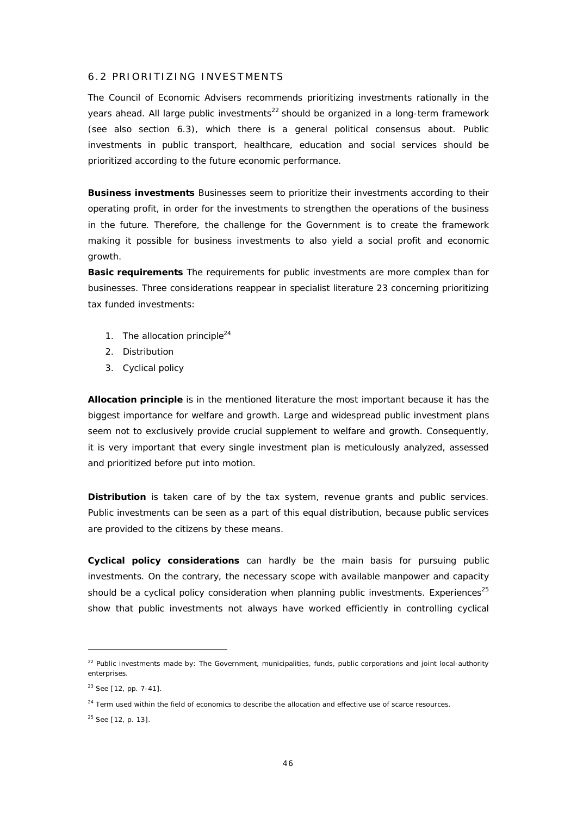#### 6.2 PRIORITIZING INVESTMENTS

The Council of Economic Advisers recommends prioritizing investments rationally in the years ahead. All large public investments<sup>22</sup> should be organized in a long-term framework (see also section 6.3), which there is a general political consensus about. Public investments in public transport, healthcare, education and social services should be prioritized according to the future economic performance.

**Business investments** Businesses seem to prioritize their investments according to their operating profit, in order for the investments to strengthen the operations of the business in the future. Therefore, the challenge for the Government is to create the framework making it possible for business investments to also yield a social profit and economic growth.

**Basic requirements** The requirements for public investments are more complex than for businesses. Three considerations reappear in specialist literature 23 concerning prioritizing tax funded investments:

- 1. The allocation principle $24$
- 2. Distribution
- 3. Cyclical policy

**Allocation principle** is in the mentioned literature the most important because it has the biggest importance for welfare and growth. Large and widespread public investment plans seem not to exclusively provide crucial supplement to welfare and growth. Consequently, it is very important that every single investment plan is meticulously analyzed, assessed and prioritized before put into motion.

**Distribution** is taken care of by the tax system, revenue grants and public services. Public investments can be seen as a part of this equal distribution, because public services are provided to the citizens by these means.

**Cyclical policy considerations** can hardly be the main basis for pursuing public investments. On the contrary, the necessary scope with available manpower and capacity should be a cyclical policy consideration when planning public investments. Experiences<sup>25</sup> show that public investments not always have worked efficiently in controlling cyclical

 $22$  Public investments made by: The Government, municipalities, funds, public corporations and joint local-authority enterprises.

<sup>23</sup> See [12, pp. 7-41].

<sup>&</sup>lt;sup>24</sup> Term used within the field of economics to describe the allocation and effective use of scarce resources.

<sup>&</sup>lt;sup>25</sup> See [12, p. 13].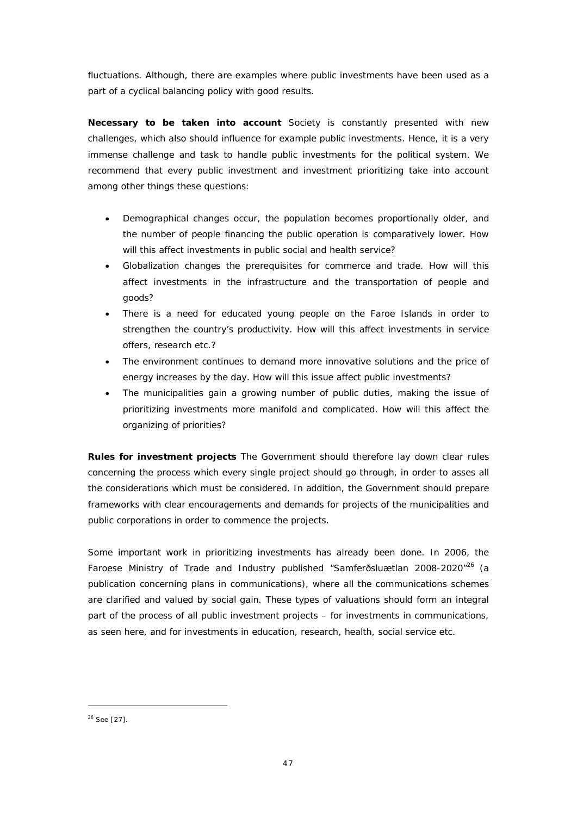fluctuations. Although, there are examples where public investments have been used as a part of a cyclical balancing policy with good results.

**Necessary to be taken into account** Society is constantly presented with new challenges, which also should influence for example public investments. Hence, it is a very immense challenge and task to handle public investments for the political system. We recommend that every public investment and investment prioritizing take into account among other things these questions:

- Demographical changes occur, the population becomes proportionally older, and the number of people financing the public operation is comparatively lower. How will this affect investments in public social and health service?
- Globalization changes the prerequisites for commerce and trade. How will this affect investments in the infrastructure and the transportation of people and goods?
- There is a need for educated young people on the Faroe Islands in order to strengthen the country's productivity. How will this affect investments in service offers, research etc.?
- The environment continues to demand more innovative solutions and the price of energy increases by the day. How will this issue affect public investments?
- The municipalities gain a growing number of public duties, making the issue of prioritizing investments more manifold and complicated. How will this affect the organizing of priorities?

**Rules for investment projects** The Government should therefore lay down clear rules concerning the process which every single project should go through, in order to asses all the considerations which must be considered. In addition, the Government should prepare frameworks with clear encouragements and demands for projects of the municipalities and public corporations in order to commence the projects.

Some important work in prioritizing investments has already been done. In 2006, the Faroese Ministry of Trade and Industry published "Samferðsluætlan 2008-2020"<sup>26</sup> (a publication concerning plans in communications), where all the communications schemes are clarified and valued by social gain. These types of valuations should form an integral part of the process of all public investment projects – for investments in communications, as seen here, and for investments in education, research, health, social service etc.

<sup>26</sup> See [27].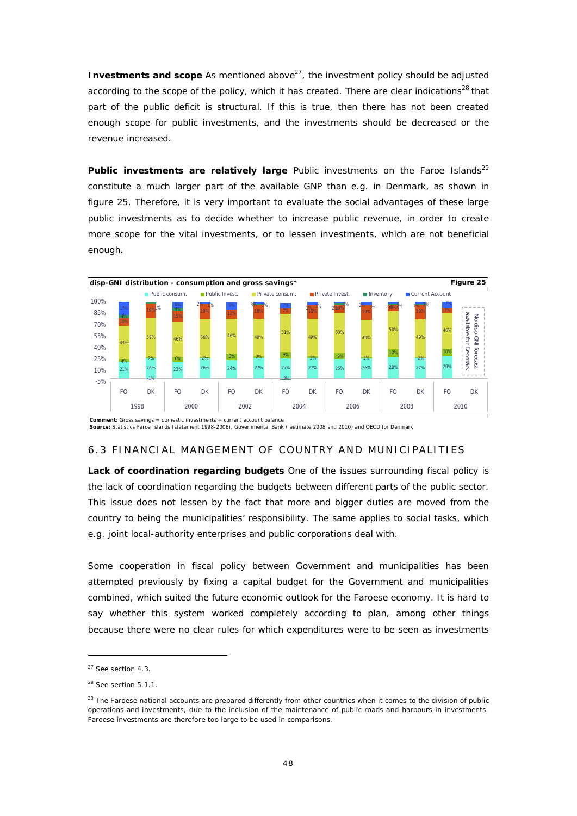**Investments and scope As mentioned above<sup>27</sup>, the investment policy should be adjusted** according to the scope of the policy, which it has created. There are clear indications<sup>28</sup> that part of the public deficit is structural. If this is true, then there has not been created enough scope for public investments, and the investments should be decreased or the revenue increased.

Public investments are relatively large Public investments on the Faroe Islands<sup>29</sup> constitute a much larger part of the available GNP than e.g. in Denmark, as shown in figure 25. Therefore, it is very important to evaluate the social advantages of these large public investments as to decide whether to increase public revenue, in order to create more scope for the vital investments, or to lessen investments, which are not beneficial enough.



**Source:** Statistics Faroe Islands (statement 1998-2006), Governmental Bank ( estimate 2008 and 2010) and OECD for Denmark

## 6.3 FINANCIAL MANGEMENT OF COUNTRY AND MUNICIPALITIES

**Lack of coordination regarding budgets** One of the issues surrounding fiscal policy is the lack of coordination regarding the budgets between different parts of the public sector. This issue does not lessen by the fact that more and bigger duties are moved from the country to being the municipalities' responsibility. The same applies to social tasks, which e.g. joint local-authority enterprises and public corporations deal with.

Some cooperation in fiscal policy between Government and municipalities has been attempted previously by fixing a capital budget for the Government and municipalities combined, which suited the future economic outlook for the Faroese economy. It is hard to say whether this system worked completely according to plan, among other things because there were no clear rules for which expenditures were to be seen as investments

<sup>27</sup> See section 4.3.

<sup>&</sup>lt;sup>28</sup> See section 5.1.1.

<sup>&</sup>lt;sup>29</sup> The Faroese national accounts are prepared differently from other countries when it comes to the division of public operations and investments, due to the inclusion of the maintenance of public roads and harbours in investments. Faroese investments are therefore too large to be used in comparisons.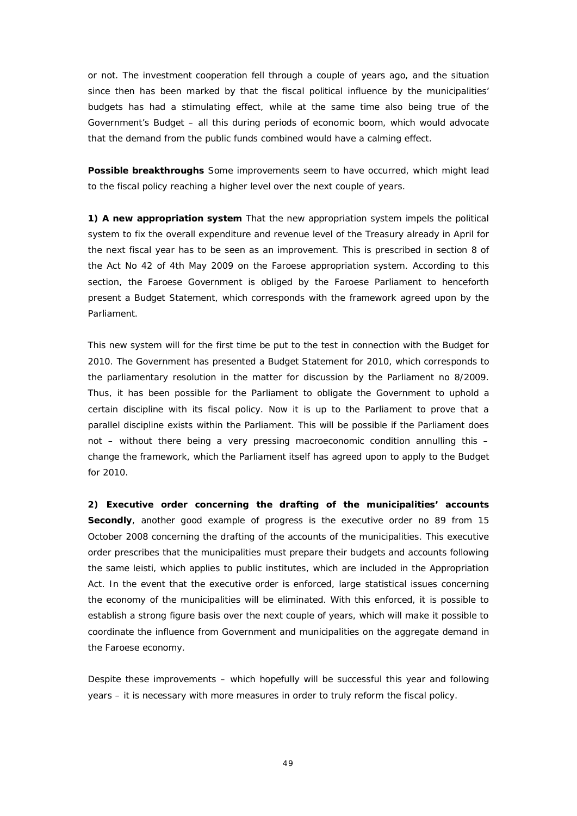or not. The investment cooperation fell through a couple of years ago, and the situation since then has been marked by that the fiscal political influence by the municipalities' budgets has had a stimulating effect, while at the same time also being true of the Government's Budget – all this during periods of economic boom, which would advocate that the demand from the public funds combined would have a calming effect.

**Possible breakthroughs** Some improvements seem to have occurred, which might lead to the fiscal policy reaching a higher level over the next couple of years.

**1) A new appropriation system** That the new appropriation system impels the political system to fix the overall expenditure and revenue level of the Treasury already in April for the next fiscal year has to be seen as an improvement. This is prescribed in section 8 of the Act No 42 of 4th May 2009 on the Faroese appropriation system. According to this section, the Faroese Government is obliged by the Faroese Parliament to henceforth present a Budget Statement, which corresponds with the framework agreed upon by the Parliament.

This new system will for the first time be put to the test in connection with the Budget for 2010. The Government has presented a Budget Statement for 2010, which corresponds to the parliamentary resolution in the matter for discussion by the Parliament no 8/2009. Thus, it has been possible for the Parliament to obligate the Government to uphold a certain discipline with its fiscal policy. Now it is up to the Parliament to prove that a parallel discipline exists within the Parliament. This will be possible if the Parliament does not – without there being a very pressing macroeconomic condition annulling this – change the framework, which the Parliament itself has agreed upon to apply to the Budget for 2010.

**2) Executive order concerning the drafting of the municipalities' accounts Secondly**, another good example of progress is the executive order no 89 from 15 October 2008 concerning the drafting of the accounts of the municipalities. This executive order prescribes that the municipalities must prepare their budgets and accounts following the same leisti, which applies to public institutes, which are included in the Appropriation Act. In the event that the executive order is enforced, large statistical issues concerning the economy of the municipalities will be eliminated. With this enforced, it is possible to establish a strong figure basis over the next couple of years, which will make it possible to coordinate the influence from Government and municipalities on the aggregate demand in the Faroese economy.

Despite these improvements – which hopefully will be successful this year and following years – it is necessary with more measures in order to truly reform the fiscal policy.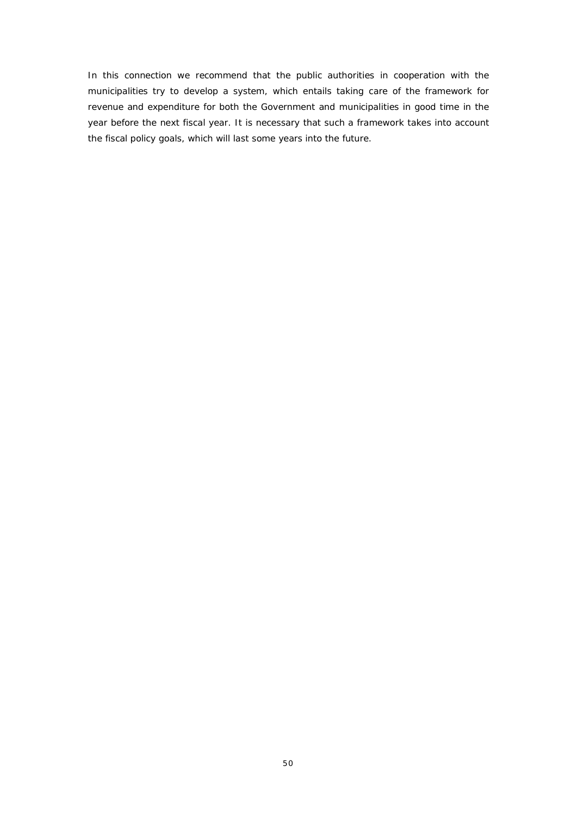In this connection we recommend that the public authorities in cooperation with the municipalities try to develop a system, which entails taking care of the framework for revenue and expenditure for both the Government and municipalities in good time in the year before the next fiscal year. It is necessary that such a framework takes into account the fiscal policy goals, which will last some years into the future.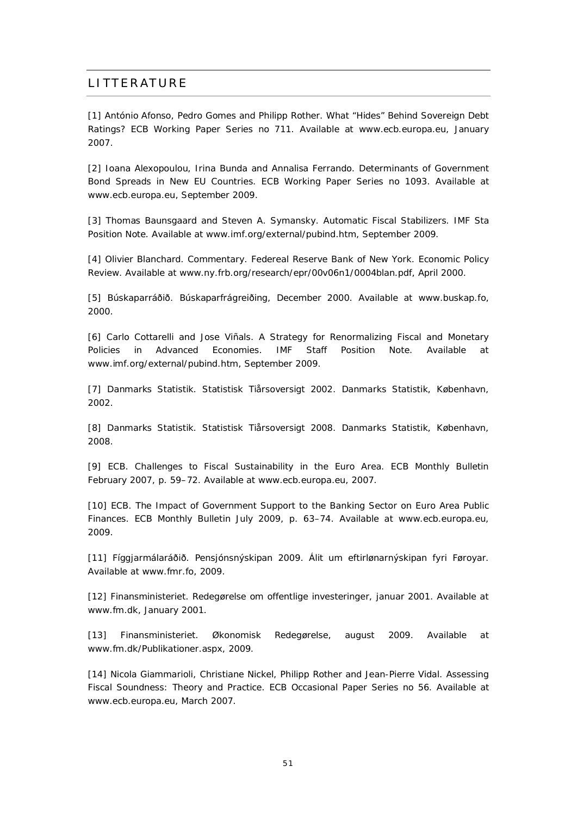# **LITTERATURE**

[1] António Afonso, Pedro Gomes and Philipp Rother. What "Hides" Behind Sovereign Debt Ratings? ECB Working Paper Series no 711. Available at [www.ecb.europa.eu](http://www.ecb.europa.eu), January 2007.

[2] Ioana Alexopoulou, Irina Bunda and Annalisa Ferrando. Determinants of Government Bond Spreads in New EU Countries. ECB Working Paper Series no 1093. Available at [www.ecb.europa.eu](http://www.ecb.europa.eu), September 2009.

[3] Thomas Baunsgaard and Steven A. Symansky. Automatic Fiscal Stabilizers. IMF Sta Position Note. Available at [www.imf.org/external/pubind.htm,](http://www.imf.org/external/pubind.htm) September 2009.

[4] Olivier Blanchard. Commentary. Federeal Reserve Bank of New York. Economic Policy Review. Available at [www.ny.frb.org/research/epr/00v06n1/0004blan.pdf](http://www.ny.frb.org/research/epr/00v06n1/0004blan.pdf), April 2000.

[5] Búskaparráðið. Búskaparfrágreiðing, December 2000. Available at [www.buskap.fo,](http://www.buskap.fo) 2000.

[6] Carlo Cottarelli and Jose Viñals. A Strategy for Renormalizing Fiscal and Monetary Policies in Advanced Economies. IMF Staff Position Note. Available at [www.imf.org/external/pubind.htm](http://www.imf.org/external/pubind.htm), September 2009.

[7] Danmarks Statistik. Statistisk Tiårsoversigt 2002. Danmarks Statistik, København, 2002.

[8] Danmarks Statistik. Statistisk Tiårsoversigt 2008. Danmarks Statistik, København, 2008.

[9] ECB. Challenges to Fiscal Sustainability in the Euro Area. ECB Monthly Bulletin February 2007, p. 59–72. Available at [www.ecb.europa.eu,](http://www.ecb.europa.eu) 2007.

[10] ECB. The Impact of Government Support to the Banking Sector on Euro Area Public Finances. ECB Monthly Bulletin July 2009, p. 63–74. Available at [www.ecb.europa.eu](http://www.ecb.europa.eu), 2009.

[11] Fíggjarmálaráðið. Pensjónsnýskipan 2009. Álit um eftirlønarnýskipan fyri Føroyar. Available at [www.fmr.fo,](http://www.fmr.fo) 2009.

[12] Finansministeriet. Redegørelse om offentlige investeringer, januar 2001. Available at [www.fm.dk](http://www.fm.dk), January 2001.

[13] Finansministeriet. Økonomisk Redegørelse, august 2009. Available at [www.fm.dk/Publikationer.aspx](http://www.fm.dk/Publikationer.aspx), 2009.

[14] Nicola Giammarioli, Christiane Nickel, Philipp Rother and Jean-Pierre Vidal. Assessing Fiscal Soundness: Theory and Practice. ECB Occasional Paper Series no 56. Available at [www.ecb.europa.eu,](http://www.ecb.europa.eu) March 2007.